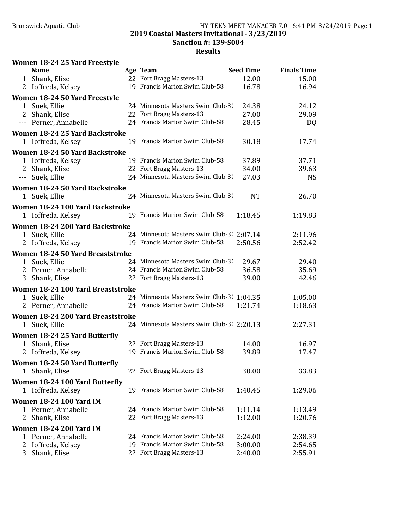#### Brunswick Aquatic Club HY-TEK's MEET MANAGER 7.0 - 6:41 PM 3/24/2019 Page 1 2019 Coastal Masters Invitational - 3/23/2019 Sanction #: 139-S004 Results

### Women 18-24 25 Yard Freestyle

|                                  | <b>Name</b>                       |  | Age Team                                  | <b>Seed Time</b> | <b>Finals Time</b> |  |
|----------------------------------|-----------------------------------|--|-------------------------------------------|------------------|--------------------|--|
|                                  | 1 Shank, Elise                    |  | 22 Fort Bragg Masters-13                  | 12.00            | 15.00              |  |
|                                  | 2 Ioffreda, Kelsey                |  | 19 Francis Marion Swim Club-58            | 16.78            | 16.94              |  |
|                                  | Women 18-24 50 Yard Freestyle     |  |                                           |                  |                    |  |
|                                  | 1 Suek, Ellie                     |  | 24 Minnesota Masters Swim Club-30         | 24.38            | 24.12              |  |
| 2                                | Shank, Elise                      |  | 22 Fort Bragg Masters-13                  | 27.00            | 29.09              |  |
|                                  | --- Perner, Annabelle             |  | 24 Francis Marion Swim Club-58            | 28.45            | DQ                 |  |
|                                  | Women 18-24 25 Yard Backstroke    |  |                                           |                  |                    |  |
|                                  | 1 Ioffreda, Kelsey                |  | 19 Francis Marion Swim Club-58            | 30.18            | 17.74              |  |
|                                  | Women 18-24 50 Yard Backstroke    |  |                                           |                  |                    |  |
|                                  | 1 Ioffreda, Kelsey                |  | 19 Francis Marion Swim Club-58            | 37.89            | 37.71              |  |
| 2                                | Shank, Elise                      |  | 22 Fort Bragg Masters-13                  | 34.00            | 39.63              |  |
|                                  | --- Suek, Ellie                   |  | 24 Minnesota Masters Swim Club-30         | 27.03            | <b>NS</b>          |  |
|                                  |                                   |  |                                           |                  |                    |  |
|                                  | Women 18-24 50 Yard Backstroke    |  |                                           |                  |                    |  |
|                                  | 1 Suek, Ellie                     |  | 24 Minnesota Masters Swim Club-30         | <b>NT</b>        | 26.70              |  |
|                                  | Women 18-24 100 Yard Backstroke   |  |                                           |                  |                    |  |
|                                  | 1 Ioffreda, Kelsey                |  | 19 Francis Marion Swim Club-58            | 1:18.45          | 1:19.83            |  |
|                                  | Women 18-24 200 Yard Backstroke   |  |                                           |                  |                    |  |
|                                  | 1 Suek, Ellie                     |  | 24 Minnesota Masters Swim Club-30 2:07.14 |                  | 2:11.96            |  |
|                                  | 2 Ioffreda, Kelsey                |  | 19 Francis Marion Swim Club-58            | 2:50.56          | 2:52.42            |  |
| Women 18-24 50 Yard Breaststroke |                                   |  |                                           |                  |                    |  |
|                                  | 1 Suek, Ellie                     |  | 24 Minnesota Masters Swim Club-30         | 29.67            | 29.40              |  |
|                                  | 2 Perner, Annabelle               |  | 24 Francis Marion Swim Club-58            | 36.58            | 35.69              |  |
|                                  | 3 Shank, Elise                    |  | 22 Fort Bragg Masters-13                  | 39.00            | 42.46              |  |
|                                  | Women 18-24 100 Yard Breaststroke |  |                                           |                  |                    |  |
|                                  | 1 Suek, Ellie                     |  | 24 Minnesota Masters Swim Club-30 1:04.35 |                  | 1:05.00            |  |
|                                  | 2 Perner, Annabelle               |  | 24 Francis Marion Swim Club-58            | 1:21.74          | 1:18.63            |  |
|                                  |                                   |  |                                           |                  |                    |  |
|                                  | Women 18-24 200 Yard Breaststroke |  |                                           |                  |                    |  |
|                                  | 1 Suek, Ellie                     |  | 24 Minnesota Masters Swim Club-30 2:20.13 |                  | 2:27.31            |  |
|                                  | Women 18-24 25 Yard Butterfly     |  |                                           |                  |                    |  |
|                                  | 1 Shank, Elise                    |  | 22 Fort Bragg Masters-13                  | 14.00            | 16.97              |  |
| 2                                | Ioffreda, Kelsey                  |  | 19 Francis Marion Swim Club-58            | 39.89            | 17.47              |  |
|                                  | Women 18-24 50 Yard Butterfly     |  |                                           |                  |                    |  |
|                                  | 1 Shank, Elise                    |  | 22 Fort Bragg Masters-13                  | 30.00            | 33.83              |  |
|                                  | Women 18-24 100 Yard Butterfly    |  |                                           |                  |                    |  |
|                                  | 1 Ioffreda, Kelsey                |  | 19 Francis Marion Swim Club-58            | 1:40.45          | 1:29.06            |  |
|                                  | <b>Women 18-24 100 Yard IM</b>    |  |                                           |                  |                    |  |
|                                  | 1 Perner, Annabelle               |  | 24 Francis Marion Swim Club-58            | 1:11.14          | 1:13.49            |  |
| 2                                | Shank, Elise                      |  | 22 Fort Bragg Masters-13                  | 1:12.00          | 1:20.76            |  |
|                                  | <b>Women 18-24 200 Yard IM</b>    |  |                                           |                  |                    |  |
|                                  | Perner, Annabelle                 |  | 24 Francis Marion Swim Club-58            | 2:24.00          | 2:38.39            |  |
| 2                                | Ioffreda, Kelsey                  |  | 19 Francis Marion Swim Club-58            | 3:00.00          | 2:54.65            |  |
| 3                                | Shank, Elise                      |  | 22 Fort Bragg Masters-13                  | 2:40.00          | 2:55.91            |  |
|                                  |                                   |  |                                           |                  |                    |  |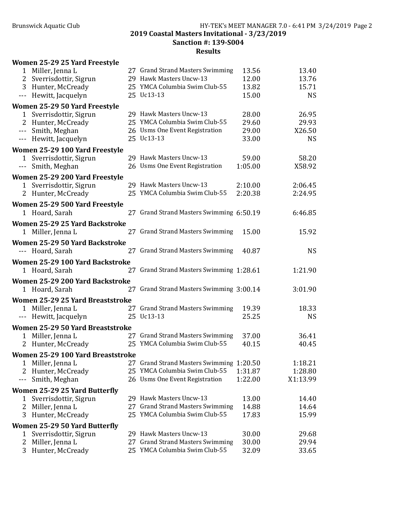|                        | Women 25-29 25 Yard Freestyle     |                                          |         |           |
|------------------------|-----------------------------------|------------------------------------------|---------|-----------|
|                        | 1 Miller, Jenna L                 | 27 Grand Strand Masters Swimming         | 13.56   | 13.40     |
| 2                      | Sverrisdottir, Sigrun             | 29 Hawk Masters Uncw-13                  | 12.00   | 13.76     |
|                        | 3 Hunter, McCready                | 25 YMCA Columbia Swim Club-55            | 13.82   | 15.71     |
|                        | --- Hewitt, Jacquelyn             | 25 Uc13-13                               | 15.00   | <b>NS</b> |
|                        | Women 25-29 50 Yard Freestyle     |                                          |         |           |
|                        | 1 Sverrisdottir, Sigrun           | 29 Hawk Masters Uncw-13                  | 28.00   | 26.95     |
|                        | 2 Hunter, McCready                | 25 YMCA Columbia Swim Club-55            | 29.60   | 29.93     |
|                        | --- Smith, Meghan                 | 26 Usms One Event Registration           | 29.00   | X26.50    |
|                        | --- Hewitt, Jacquelyn             | 25 Uc13-13                               | 33.00   | <b>NS</b> |
|                        | Women 25-29 100 Yard Freestyle    |                                          |         |           |
|                        | 1 Sverrisdottir, Sigrun           | 29 Hawk Masters Uncw-13                  | 59.00   | 58.20     |
| $\scriptstyle\cdots$ . | Smith, Meghan                     | 26 Usms One Event Registration           | 1:05.00 | X58.92    |
|                        | Women 25-29 200 Yard Freestyle    |                                          |         |           |
|                        | 1 Sverrisdottir, Sigrun           | 29 Hawk Masters Uncw-13                  | 2:10.00 | 2:06.45   |
|                        | 2 Hunter, McCready                | 25 YMCA Columbia Swim Club-55            | 2:20.38 | 2:24.95   |
|                        | Women 25-29 500 Yard Freestyle    |                                          |         |           |
|                        | 1 Hoard, Sarah                    | 27 Grand Strand Masters Swimming 6:50.19 |         | 6:46.85   |
|                        | Women 25-29 25 Yard Backstroke    |                                          |         |           |
|                        | 1 Miller, Jenna L                 | 27 Grand Strand Masters Swimming         | 15.00   | 15.92     |
|                        | Women 25-29 50 Yard Backstroke    |                                          |         |           |
|                        | --- Hoard, Sarah                  | 27 Grand Strand Masters Swimming         | 40.87   | <b>NS</b> |
|                        | Women 25-29 100 Yard Backstroke   |                                          |         |           |
|                        | 1 Hoard, Sarah                    | 27 Grand Strand Masters Swimming 1:28.61 |         | 1:21.90   |
|                        | Women 25-29 200 Yard Backstroke   |                                          |         |           |
|                        | 1 Hoard, Sarah                    | 27 Grand Strand Masters Swimming 3:00.14 |         | 3:01.90   |
|                        | Women 25-29 25 Yard Breaststroke  |                                          |         |           |
|                        | 1 Miller, Jenna L                 | 27 Grand Strand Masters Swimming         | 19.39   | 18.33     |
|                        | --- Hewitt, Jacquelyn             | 25 Uc13-13                               | 25.25   | <b>NS</b> |
|                        | Women 25-29 50 Yard Breaststroke  |                                          |         |           |
| 1                      | Miller, Jenna L                   | 27 Grand Strand Masters Swimming         | 37.00   | 36.41     |
|                        | 2 Hunter, McCready                | 25 YMCA Columbia Swim Club-55            | 40.15   | 40.45     |
|                        | Women 25-29 100 Yard Breaststroke |                                          |         |           |
| 1                      | Miller, Jenna L                   | 27 Grand Strand Masters Swimming 1:20.50 |         | 1:18.21   |
|                        | Hunter, McCready                  | 25 YMCA Columbia Swim Club-55            | 1:31.87 | 1:28.80   |
| $- - -$                | Smith, Meghan                     | 26 Usms One Event Registration           | 1:22.00 | X1:13.99  |
|                        | Women 25-29 25 Yard Butterfly     |                                          |         |           |
| 1                      | Sverrisdottir, Sigrun             | 29 Hawk Masters Uncw-13                  | 13.00   | 14.40     |
| 2                      | Miller, Jenna L                   | 27 Grand Strand Masters Swimming         | 14.88   | 14.64     |
| 3                      | Hunter, McCready                  | 25 YMCA Columbia Swim Club-55            | 17.83   | 15.99     |
|                        | Women 25-29 50 Yard Butterfly     |                                          |         |           |
| 1                      | Sverrisdottir, Sigrun             | 29 Hawk Masters Uncw-13                  | 30.00   | 29.68     |
| 2                      | Miller, Jenna L                   | 27 Grand Strand Masters Swimming         | 30.00   | 29.94     |
| 3                      | Hunter, McCready                  | 25 YMCA Columbia Swim Club-55            | 32.09   | 33.65     |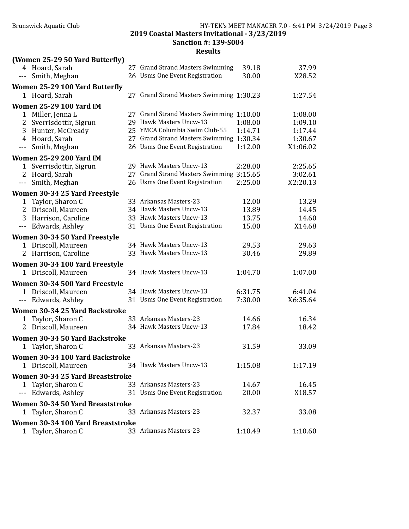2019 Coastal Masters Invitational - 3/23/2019 Sanction #: 139-S004

|              | (Women 25-29 50 Yard Butterfly)                      |                                          |         |          |
|--------------|------------------------------------------------------|------------------------------------------|---------|----------|
|              | 4 Hoard, Sarah                                       | 27 Grand Strand Masters Swimming         | 39.18   | 37.99    |
| ---          | Smith, Meghan                                        | 26 Usms One Event Registration           | 30.00   | X28.52   |
|              | Women 25-29 100 Yard Butterfly                       |                                          |         |          |
| 1            | Hoard, Sarah                                         | 27 Grand Strand Masters Swimming 1:30.23 |         | 1:27.54  |
|              | <b>Women 25-29 100 Yard IM</b>                       |                                          |         |          |
|              | 1 Miller, Jenna L                                    | 27 Grand Strand Masters Swimming 1:10.00 |         | 1:08.00  |
| 2            | Sverrisdottir, Sigrun                                | 29 Hawk Masters Uncw-13                  | 1:08.00 | 1:09.10  |
| 3            | Hunter, McCready                                     | 25 YMCA Columbia Swim Club-55            | 1:14.71 | 1:17.44  |
|              | 4 Hoard, Sarah                                       | 27 Grand Strand Masters Swimming 1:30.34 |         | 1:30.67  |
| $- - -$      | Smith, Meghan                                        | 26 Usms One Event Registration           | 1:12.00 | X1:06.02 |
|              | <b>Women 25-29 200 Yard IM</b>                       |                                          |         |          |
| 1            | Sverrisdottir, Sigrun                                | 29 Hawk Masters Uncw-13                  | 2:28.00 | 2:25.65  |
|              | 2 Hoard, Sarah                                       | 27 Grand Strand Masters Swimming 3:15.65 |         | 3:02.61  |
| $ -$         | Smith, Meghan                                        | 26 Usms One Event Registration           | 2:25.00 | X2:20.13 |
|              | Women 30-34 25 Yard Freestyle                        |                                          |         |          |
| $\mathbf{1}$ | Taylor, Sharon C                                     | 33 Arkansas Masters-23                   | 12.00   | 13.29    |
|              | 2 Driscoll, Maureen                                  | 34 Hawk Masters Uncw-13                  | 13.89   | 14.45    |
|              | 3 Harrison, Caroline                                 | 33 Hawk Masters Uncw-13                  | 13.75   | 14.60    |
|              | --- Edwards, Ashley                                  | 31 Usms One Event Registration           | 15.00   | X14.68   |
|              |                                                      |                                          |         |          |
|              | Women 30-34 50 Yard Freestyle                        | 34 Hawk Masters Uncw-13                  |         |          |
| 1            | Driscoll, Maureen                                    |                                          | 29.53   | 29.63    |
|              | 2 Harrison, Caroline                                 | 33 Hawk Masters Uncw-13                  | 30.46   | 29.89    |
|              | Women 30-34 100 Yard Freestyle                       |                                          |         |          |
|              | 1 Driscoll, Maureen                                  | 34 Hawk Masters Uncw-13                  | 1:04.70 | 1:07.00  |
|              | Women 30-34 500 Yard Freestyle                       |                                          |         |          |
| $\mathbf{1}$ | Driscoll, Maureen                                    | 34 Hawk Masters Uncw-13                  | 6:31.75 | 6:41.04  |
| $---$        | Edwards, Ashley                                      | 31 Usms One Event Registration           | 7:30.00 | X6:35.64 |
|              | Women 30-34 25 Yard Backstroke                       |                                          |         |          |
| $\mathbf{1}$ | Taylor, Sharon C                                     | 33 Arkansas Masters-23                   | 14.66   | 16.34    |
| 2            | Driscoll, Maureen                                    | 34 Hawk Masters Uncw-13                  | 17.84   | 18.42    |
|              | Women 30-34 50 Yard Backstroke                       |                                          |         |          |
|              | 1 Taylor, Sharon C                                   | 33 Arkansas Masters-23                   | 31.59   | 33.09    |
|              |                                                      |                                          |         |          |
|              | Women 30-34 100 Yard Backstroke<br>Driscoll, Maureen | 34 Hawk Masters Uncw-13                  | 1:15.08 | 1:17.19  |
| 1            |                                                      |                                          |         |          |
|              | Women 30-34 25 Yard Breaststroke                     |                                          |         |          |
| 1            | Taylor, Sharon C                                     | 33 Arkansas Masters-23                   | 14.67   | 16.45    |
| ---          | Edwards, Ashley                                      | 31 Usms One Event Registration           | 20.00   | X18.57   |
|              | Women 30-34 50 Yard Breaststroke                     |                                          |         |          |
| 1            | Taylor, Sharon C                                     | 33 Arkansas Masters-23                   | 32.37   | 33.08    |
|              | Women 30-34 100 Yard Breaststroke                    |                                          |         |          |
|              | Taylor, Sharon C                                     | 33 Arkansas Masters-23                   | 1:10.49 | 1:10.60  |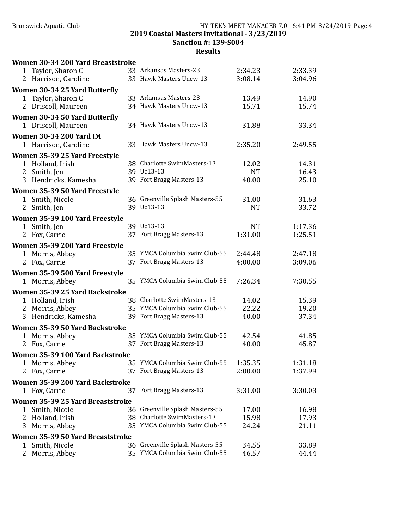# Brunswick Aquatic Club **HY-TEK's MEET MANAGER 7.0 - 6:41 PM 3/24/2019** Page 4 2019 Coastal Masters Invitational - 3/23/2019 Sanction #: 139-S004

| Women 30-34 200 Yard Breaststroke                |                                                                |                    |                |
|--------------------------------------------------|----------------------------------------------------------------|--------------------|----------------|
| Taylor, Sharon C<br>1                            | 33 Arkansas Masters-23                                         | 2:34.23            | 2:33.39        |
| 2 Harrison, Caroline                             | 33 Hawk Masters Uncw-13                                        | 3:08.14            | 3:04.96        |
| Women 30-34 25 Yard Butterfly                    |                                                                |                    |                |
| Taylor, Sharon C<br>1                            | 33 Arkansas Masters-23                                         | 13.49              | 14.90          |
| 2 Driscoll, Maureen                              | 34 Hawk Masters Uncw-13                                        | 15.71              | 15.74          |
| Women 30-34 50 Yard Butterfly                    |                                                                |                    |                |
| 1 Driscoll, Maureen                              | 34 Hawk Masters Uncw-13                                        | 31.88              | 33.34          |
| <b>Women 30-34 200 Yard IM</b>                   |                                                                |                    |                |
| 1 Harrison, Caroline                             | 33 Hawk Masters Uncw-13                                        | 2:35.20            | 2:49.55        |
| Women 35-39 25 Yard Freestyle                    |                                                                |                    |                |
| 1 Holland, Irish                                 | 38 Charlotte SwimMasters-13<br>39 Uc13-13                      | 12.02              | 14.31          |
| 2 Smith, Jen<br>3 Hendricks, Kamesha             | 39 Fort Bragg Masters-13                                       | <b>NT</b><br>40.00 | 16.43<br>25.10 |
|                                                  |                                                                |                    |                |
| Women 35-39 50 Yard Freestyle<br>1 Smith, Nicole | 36 Greenville Splash Masters-55                                | 31.00              | 31.63          |
| 2 Smith, Jen                                     | 39 Uc13-13                                                     | <b>NT</b>          | 33.72          |
| Women 35-39 100 Yard Freestyle                   |                                                                |                    |                |
| 1 Smith, Jen                                     | 39 Uc13-13                                                     | <b>NT</b>          | 1:17.36        |
| 2 Fox, Carrie                                    | 37 Fort Bragg Masters-13                                       | 1:31.00            | 1:25.51        |
| Women 35-39 200 Yard Freestyle                   |                                                                |                    |                |
| 1 Morris, Abbey                                  | 35 YMCA Columbia Swim Club-55                                  | 2:44.48            | 2:47.18        |
| 2 Fox, Carrie                                    | 37 Fort Bragg Masters-13                                       | 4:00.00            | 3:09.06        |
| Women 35-39 500 Yard Freestyle                   |                                                                |                    |                |
| 1 Morris, Abbey                                  | 35 YMCA Columbia Swim Club-55                                  | 7:26.34            | 7:30.55        |
| Women 35-39 25 Yard Backstroke                   |                                                                |                    |                |
| 1 Holland, Irish                                 | 38 Charlotte SwimMasters-13                                    | 14.02              | 15.39          |
| 2 Morris, Abbey                                  | 35 YMCA Columbia Swim Club-55                                  | 22.22              | 19.20          |
| 3 Hendricks, Kamesha                             | 39 Fort Bragg Masters-13                                       | 40.00              | 37.34          |
| Women 35-39 50 Yard Backstroke                   |                                                                |                    |                |
| 1 Morris, Abbey                                  | 35 YMCA Columbia Swim Club-55                                  | 42.54              | 41.85          |
| 2 Fox, Carrie                                    | 37 Fort Bragg Masters-13                                       | 40.00              | 45.87          |
| Women 35-39 100 Yard Backstroke                  |                                                                |                    |                |
| 1 Morris, Abbey                                  | 35 YMCA Columbia Swim Club-55                                  | 1:35.35            | 1:31.18        |
| 2 Fox, Carrie                                    | 37 Fort Bragg Masters-13                                       | 2:00.00            | 1:37.99        |
| Women 35-39 200 Yard Backstroke                  |                                                                |                    |                |
| Fox, Carrie<br>1                                 | 37 Fort Bragg Masters-13                                       | 3:31.00            | 3:30.03        |
| Women 35-39 25 Yard Breaststroke                 |                                                                |                    |                |
| Smith, Nicole<br>1<br>Holland, Irish<br>2        | 36 Greenville Splash Masters-55<br>38 Charlotte SwimMasters-13 | 17.00<br>15.98     | 16.98<br>17.93 |
| Morris, Abbey<br>3                               | 35 YMCA Columbia Swim Club-55                                  | 24.24              | 21.11          |
| Women 35-39 50 Yard Breaststroke                 |                                                                |                    |                |
| Smith, Nicole<br>1                               | 36 Greenville Splash Masters-55                                | 34.55              | 33.89          |
| 2<br>Morris, Abbey                               | 35 YMCA Columbia Swim Club-55                                  | 46.57              | 44.44          |
|                                                  |                                                                |                    |                |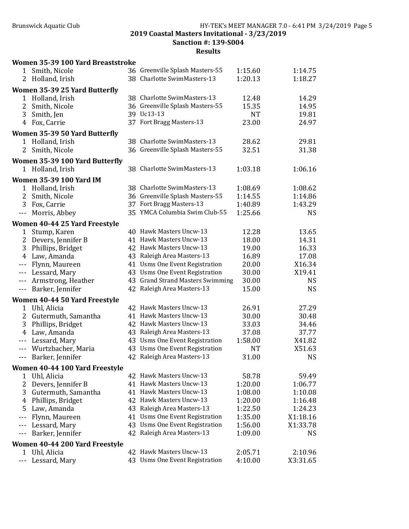Women 35-39 100 Yard Breaststroke

## Brunswick Aquatic Club HY-TEK's MEET MANAGER 7.0 - 6:41 PM 3/24/2019 Page 5 2019 Coastal Masters Invitational - 3/23/2019 Sanction #: 139-S004

| $\mathbf 1$       | Smith, Nicole                  | 36 Greenville Splash Masters-55  | 1:15.60   | 1:14.75   |
|-------------------|--------------------------------|----------------------------------|-----------|-----------|
| $\overline{2}$    | Holland, Irish                 | 38 Charlotte SwimMasters-13      | 1:20.13   | 1:18.27   |
|                   | Women 35-39 25 Yard Butterfly  |                                  |           |           |
|                   | 1 Holland, Irish               | 38 Charlotte SwimMasters-13      | 12.48     | 14.29     |
| 2                 | Smith, Nicole                  | 36 Greenville Splash Masters-55  | 15.35     | 14.95     |
| 3                 | Smith, Jen                     | 39 Uc13-13                       | <b>NT</b> | 19.81     |
| 4                 | Fox, Carrie                    | 37 Fort Bragg Masters-13         | 23.00     | 24.97     |
|                   | Women 35-39 50 Yard Butterfly  |                                  |           |           |
|                   | 1 Holland, Irish               | 38 Charlotte SwimMasters-13      | 28.62     | 29.81     |
| 2                 | Smith, Nicole                  | 36 Greenville Splash Masters-55  | 32.51     | 31.38     |
|                   | Women 35-39 100 Yard Butterfly |                                  |           |           |
|                   | 1 Holland, Irish               | 38 Charlotte SwimMasters-13      | 1:03.18   | 1:06.16   |
|                   | <b>Women 35-39 100 Yard IM</b> |                                  |           |           |
| 1                 | Holland, Irish                 | 38 Charlotte SwimMasters-13      | 1:08.69   | 1:08.62   |
| 2                 | Smith, Nicole                  | 36 Greenville Splash Masters-55  | 1:14.55   | 1:14.86   |
| 3                 | Fox, Carrie                    | 37 Fort Bragg Masters-13         | 1:40.89   | 1:43.29   |
| $- - -$           | Morris, Abbey                  | 35 YMCA Columbia Swim Club-55    | 1:25.66   | <b>NS</b> |
|                   | Women 40-44 25 Yard Freestyle  |                                  |           |           |
| 1                 | Stump, Karen                   | 40 Hawk Masters Uncw-13          | 12.28     | 13.65     |
| 2                 | Devers, Jennifer B             | 41 Hawk Masters Uncw-13          | 18.00     | 14.31     |
| 3                 | Phillips, Bridget              | 42 Hawk Masters Uncw-13          | 19.00     | 16.33     |
| 4                 | Law, Amanda                    | 43 Raleigh Area Masters-13       | 16.89     | 17.08     |
| $- - -$           | Flynn, Maureen                 | 41 Usms One Event Registration   | 20.00     | X16.34    |
| $- - -$           | Lessard, Mary                  | 43 Usms One Event Registration   | 30.00     | X19.41    |
| $- - -$           | Armstrong, Heather             | 43 Grand Strand Masters Swimming | 30.00     | <b>NS</b> |
| $- - -$           | Barker, Jennifer               | 42 Raleigh Area Masters-13       | 15.00     | <b>NS</b> |
|                   | Women 40-44 50 Yard Freestyle  |                                  |           |           |
| 1                 | Uhl, Alicia                    | 42 Hawk Masters Uncw-13          | 26.91     | 27.29     |
| 2                 | Gutermuth, Samantha            | 41 Hawk Masters Uncw-13          | 30.00     | 30.48     |
| 3                 | Phillips, Bridget              | 42 Hawk Masters Uncw-13          | 33.03     | 34.46     |
| 4                 | Law, Amanda                    | 43 Raleigh Area Masters-13       | 37.08     | 37.77     |
| $- - -$           | Lessard, Mary                  | 43 Usms One Event Registration   | 1:58.00   | X41.82    |
| $- - -$           | Wurtzbacher, Maria             | 43 Usms One Event Registration   | <b>NT</b> | X51.63    |
|                   | --- Barker, Jennifer           | 42 Raleigh Area Masters-13       | 31.00     | <b>NS</b> |
|                   | Women 40-44 100 Yard Freestyle |                                  |           |           |
| 1                 | Uhl, Alicia                    | 42 Hawk Masters Uncw-13          | 58.78     | 59.49     |
| 2                 | Devers, Jennifer B             | 41 Hawk Masters Uncw-13          | 1:20.00   | 1:06.77   |
| 3                 | Gutermuth, Samantha            | 41 Hawk Masters Uncw-13          | 1:08.00   | 1:10.08   |
| 4                 | Phillips, Bridget              | 42 Hawk Masters Uncw-13          | 1:20.00   | 1:16.48   |
| 5                 | Law, Amanda                    | 43 Raleigh Area Masters-13       | 1:22.50   | 1:24.23   |
| $---$             | Flynn, Maureen                 | 41 Usms One Event Registration   | 1:35.00   | X1:18.16  |
| $- - -$           | Lessard, Mary                  | 43 Usms One Event Registration   | 1:56.00   | X1:33.78  |
| $---$             | Barker, Jennifer               | 42 Raleigh Area Masters-13       | 1:09.00   | <b>NS</b> |
|                   | Women 40-44 200 Yard Freestyle |                                  |           |           |
| 1                 | Uhl, Alicia                    | 42 Hawk Masters Uncw-13          | 2:05.71   | 2:10.96   |
| $\qquad \qquad -$ | Lessard, Mary                  | 43 Usms One Event Registration   | 4:10.00   | X3:31.65  |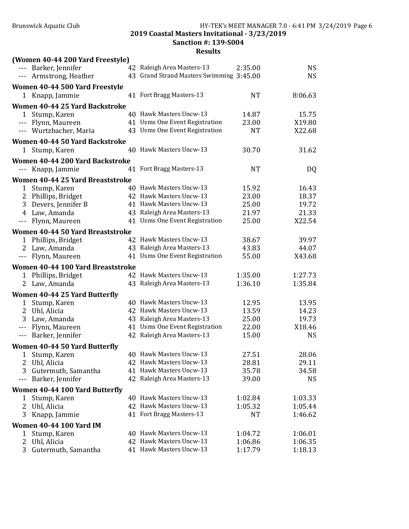Sanction #: 139-S004

|                   | (Women 40-44 200 Yard Freestyle)     |                                          |           |                |
|-------------------|--------------------------------------|------------------------------------------|-----------|----------------|
|                   | --- Barker, Jennifer                 | 42 Raleigh Area Masters-13               | 2:35.00   | <b>NS</b>      |
|                   | --- Armstrong, Heather               | 43 Grand Strand Masters Swimming 3:45.00 |           | <b>NS</b>      |
|                   | Women 40-44 500 Yard Freestyle       |                                          |           |                |
|                   | 1 Knapp, Jammie                      | 41 Fort Bragg Masters-13                 | <b>NT</b> | 8:06.63        |
|                   | Women 40-44 25 Yard Backstroke       |                                          |           |                |
|                   | 1 Stump, Karen                       | 40 Hawk Masters Uncw-13                  | 14.87     | 15.75          |
|                   | --- Flynn, Maureen                   | 41 Usms One Event Registration           | 23.00     | X19.80         |
|                   | --- Wurtzbacher, Maria               | 43 Usms One Event Registration           | <b>NT</b> | X22.68         |
|                   | Women 40-44 50 Yard Backstroke       |                                          |           |                |
| 1                 | Stump, Karen                         | 40 Hawk Masters Uncw-13                  | 30.70     | 31.62          |
|                   | Women 40-44 200 Yard Backstroke      |                                          |           |                |
|                   | --- Knapp, Jammie                    | 41 Fort Bragg Masters-13                 | <b>NT</b> | DQ             |
|                   | Women 40-44 25 Yard Breaststroke     |                                          |           |                |
| 1                 | Stump, Karen                         | 40 Hawk Masters Uncw-13                  | 15.92     | 16.43          |
| 2                 | Phillips, Bridget                    | 42 Hawk Masters Uncw-13                  | 23.00     | 18.37          |
| 3                 | Devers, Jennifer B                   | 41 Hawk Masters Uncw-13                  | 25.00     | 19.72          |
| 4                 | Law, Amanda                          | 43 Raleigh Area Masters-13               | 21.97     | 21.33          |
| $\qquad \qquad -$ | Flynn, Maureen                       | 41 Usms One Event Registration           | 25.00     | X22.54         |
|                   | Women 40-44 50 Yard Breaststroke     |                                          |           |                |
| $\mathbf{1}$      | Phillips, Bridget                    | 42 Hawk Masters Uncw-13                  | 38.67     | 39.97          |
| 2                 | Law, Amanda                          | 43 Raleigh Area Masters-13               | 43.83     | 44.07          |
| $\qquad \qquad -$ | Flynn, Maureen                       | 41 Usms One Event Registration           | 55.00     | X43.68         |
|                   | Women 40-44 100 Yard Breaststroke    |                                          |           |                |
| 1                 | Phillips, Bridget                    | 42 Hawk Masters Uncw-13                  | 1:35.00   | 1:27.73        |
|                   | 2 Law, Amanda                        | 43 Raleigh Area Masters-13               | 1:36.10   | 1:35.84        |
|                   |                                      |                                          |           |                |
|                   | Women 40-44 25 Yard Butterfly        | 40 Hawk Masters Uncw-13                  | 12.95     |                |
| $\mathbf{1}$<br>2 | Stump, Karen                         | 42 Hawk Masters Uncw-13                  | 13.59     | 13.95<br>14.23 |
| 3                 | Uhl, Alicia                          | 43 Raleigh Area Masters-13               | 25.00     | 19.73          |
|                   | Law, Amanda<br>--- Flynn, Maureen    | 41 Usms One Event Registration           | 22.00     | X18.46         |
|                   | --- Barker, Jennifer                 | 42 Raleigh Area Masters-13               | 15.00     | <b>NS</b>      |
|                   |                                      |                                          |           |                |
|                   | <b>Women 40-44 50 Yard Butterfly</b> |                                          |           |                |
|                   | 1 Stump, Karen                       | 40 Hawk Masters Uncw-13                  | 27.51     | 28.06          |
| 2                 | Uhl, Alicia                          | 42 Hawk Masters Uncw-13                  | 28.81     | 29.11          |
| 3                 | Gutermuth, Samantha                  | 41 Hawk Masters Uncw-13                  | 35.78     | 34.58          |
| $---$             | Barker, Jennifer                     | 42 Raleigh Area Masters-13               | 39.00     | <b>NS</b>      |
|                   | Women 40-44 100 Yard Butterfly       |                                          |           |                |
| 1                 | Stump, Karen                         | 40 Hawk Masters Uncw-13                  | 1:02.84   | 1:03.33        |
| 2                 | Uhl, Alicia                          | 42 Hawk Masters Uncw-13                  | 1:05.32   | 1:05.44        |
| 3                 | Knapp, Jammie                        | 41 Fort Bragg Masters-13                 | <b>NT</b> | 1:46.62        |
|                   | <b>Women 40-44 100 Yard IM</b>       |                                          |           |                |
| 1                 | Stump, Karen                         | 40 Hawk Masters Uncw-13                  | 1:04.72   | 1:06.01        |
| 2                 | Uhl, Alicia                          | 42 Hawk Masters Uncw-13                  | 1:06.86   | 1:06.35        |
| 3                 | Gutermuth, Samantha                  | 41 Hawk Masters Uncw-13                  | 1:17.79   | 1:18.13        |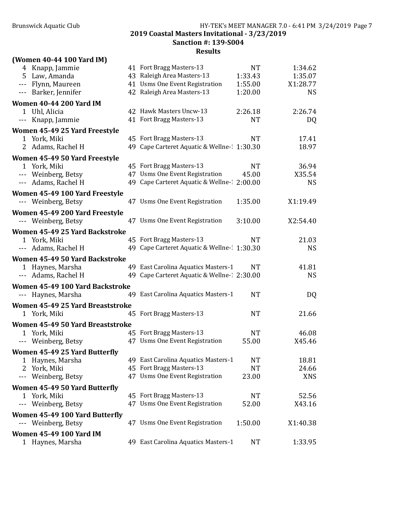### Brunswick Aquatic Club **HY-TEK's MEET MANAGER 7.0 - 6:41 PM 3/24/2019** Page 7 2019 Coastal Masters Invitational - 3/23/2019 Sanction #: 139-S004

|                     | (Women 40-44 100 Yard IM)        |                                             |           |            |
|---------------------|----------------------------------|---------------------------------------------|-----------|------------|
|                     | 4 Knapp, Jammie                  | 41 Fort Bragg Masters-13                    | NT        | 1:34.62    |
| 5.                  | Law, Amanda                      | 43 Raleigh Area Masters-13                  | 1:33.43   | 1:35.07    |
| $---$               | Flynn, Maureen                   | 41 Usms One Event Registration              | 1:55.00   | X1:28.77   |
|                     | --- Barker, Jennifer             | 42 Raleigh Area Masters-13                  | 1:20.00   | <b>NS</b>  |
|                     | <b>Women 40-44 200 Yard IM</b>   |                                             |           |            |
|                     | 1 Uhl, Alicia                    | 42 Hawk Masters Uncw-13                     | 2:26.18   | 2:26.74    |
| ---                 | Knapp, Jammie                    | 41 Fort Bragg Masters-13                    | <b>NT</b> | DQ         |
|                     | Women 45-49 25 Yard Freestyle    |                                             |           |            |
|                     | 1 York, Miki                     | 45 Fort Bragg Masters-13                    | NT        | 17.41      |
|                     | 2 Adams, Rachel H                | 49 Cape Carteret Aquatic & Wellne-11:30.30  |           | 18.97      |
|                     | Women 45-49 50 Yard Freestyle    |                                             |           |            |
|                     | 1 York, Miki                     | 45 Fort Bragg Masters-13                    | <b>NT</b> | 36.94      |
|                     | --- Weinberg, Betsy              | 47 Usms One Event Registration              | 45.00     | X35.54     |
|                     | --- Adams, Rachel H              | 49 Cape Carteret Aquatic & Wellne-1 2:00.00 |           | <b>NS</b>  |
|                     | Women 45-49 100 Yard Freestyle   |                                             |           |            |
|                     | --- Weinberg, Betsy              | 47 Usms One Event Registration              | 1:35.00   | X1:19.49   |
|                     | Women 45-49 200 Yard Freestyle   |                                             |           |            |
|                     | --- Weinberg, Betsy              | 47 Usms One Event Registration              | 3:10.00   | X2:54.40   |
|                     |                                  |                                             |           |            |
|                     | Women 45-49 25 Yard Backstroke   |                                             |           |            |
|                     | 1 York, Miki                     | 45 Fort Bragg Masters-13                    | NT        | 21.03      |
| $\qquad \qquad - -$ | Adams, Rachel H                  | 49 Cape Carteret Aquatic & Wellne-11:30.30  |           | <b>NS</b>  |
|                     | Women 45-49 50 Yard Backstroke   |                                             |           |            |
|                     | 1 Haynes, Marsha                 | 49 East Carolina Aquatics Masters-1         | NT        | 41.81      |
|                     | --- Adams, Rachel H              | 49 Cape Carteret Aquatic & Wellne-1 2:30.00 |           | <b>NS</b>  |
|                     | Women 45-49 100 Yard Backstroke  |                                             |           |            |
|                     | --- Haynes, Marsha               | 49 East Carolina Aquatics Masters-1         | <b>NT</b> | DQ         |
|                     | Women 45-49 25 Yard Breaststroke |                                             |           |            |
|                     | 1 York, Miki                     | 45 Fort Bragg Masters-13                    | NT        | 21.66      |
|                     | Women 45-49 50 Yard Breaststroke |                                             |           |            |
|                     | 1 York, Miki                     | 45 Fort Bragg Masters-13                    | NT        | 46.08      |
|                     | --- Weinberg, Betsy              | 47 Usms One Event Registration              | 55.00     | X45.46     |
|                     | Women 45-49 25 Yard Butterfly    |                                             |           |            |
| 1                   | Haynes, Marsha                   | 49 East Carolina Aquatics Masters-1         | NT        | 18.81      |
| 2                   | York, Miki                       | 45 Fort Bragg Masters-13                    | <b>NT</b> | 24.66      |
| ---                 | Weinberg, Betsy                  | 47 Usms One Event Registration              | 23.00     | <b>XNS</b> |
|                     | Women 45-49 50 Yard Butterfly    |                                             |           |            |
| 1                   | York, Miki                       | 45 Fort Bragg Masters-13                    | <b>NT</b> | 52.56      |
| ---                 | Weinberg, Betsy                  | 47 Usms One Event Registration              | 52.00     | X43.16     |
|                     | Women 45-49 100 Yard Butterfly   |                                             |           |            |
|                     | --- Weinberg, Betsy              | 47 Usms One Event Registration              | 1:50.00   | X1:40.38   |
|                     | <b>Women 45-49 100 Yard IM</b>   |                                             |           |            |
|                     | 1 Haynes, Marsha                 | 49 East Carolina Aquatics Masters-1         | <b>NT</b> | 1:33.95    |
|                     |                                  |                                             |           |            |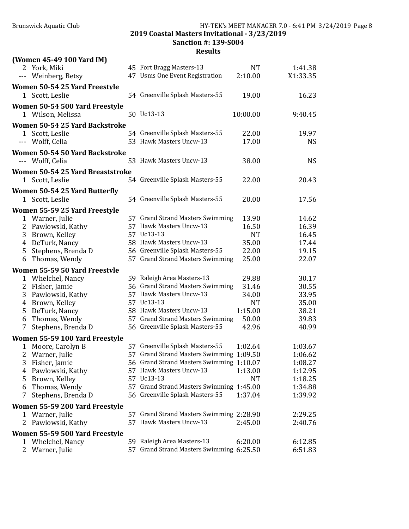Sanction #: 139-S004

|              | (Women 45-49 100 Yard IM)        |                                          |           |           |
|--------------|----------------------------------|------------------------------------------|-----------|-----------|
|              | 2 York, Miki                     | 45 Fort Bragg Masters-13                 | <b>NT</b> | 1:41.38   |
|              | --- Weinberg, Betsy              | 47 Usms One Event Registration           | 2:10.00   | X1:33.35  |
|              | Women 50-54 25 Yard Freestyle    |                                          |           |           |
|              | 1 Scott, Leslie                  | 54 Greenville Splash Masters-55          | 19.00     | 16.23     |
|              | Women 50-54 500 Yard Freestyle   |                                          |           |           |
|              | 1 Wilson, Melissa                | 50 Uc13-13                               | 10:00.00  | 9:40.45   |
|              | Women 50-54 25 Yard Backstroke   |                                          |           |           |
|              | 1 Scott, Leslie                  | 54 Greenville Splash Masters-55          | 22.00     | 19.97     |
|              | --- Wolff, Celia                 | 53 Hawk Masters Uncw-13                  | 17.00     | <b>NS</b> |
|              | Women 50-54 50 Yard Backstroke   |                                          |           |           |
|              | --- Wolff, Celia                 | 53 Hawk Masters Uncw-13                  | 38.00     | <b>NS</b> |
|              | Women 50-54 25 Yard Breaststroke |                                          |           |           |
|              | 1 Scott, Leslie                  | 54 Greenville Splash Masters-55          | 22.00     | 20.43     |
|              | Women 50-54 25 Yard Butterfly    |                                          |           |           |
|              | 1 Scott, Leslie                  | 54 Greenville Splash Masters-55          | 20.00     | 17.56     |
|              | Women 55-59 25 Yard Freestyle    |                                          |           |           |
| $\mathbf{1}$ | Warner, Julie                    | 57 Grand Strand Masters Swimming         | 13.90     | 14.62     |
| 2            | Pawlowski, Kathy                 | 57 Hawk Masters Uncw-13                  | 16.50     | 16.39     |
| 3            | Brown, Kelley                    | 57 Uc13-13                               | <b>NT</b> | 16.45     |
| 4            | DeTurk, Nancy                    | 58 Hawk Masters Uncw-13                  | 35.00     | 17.44     |
| 5            | Stephens, Brenda D               | 56 Greenville Splash Masters-55          | 22.00     | 19.15     |
| 6            | Thomas, Wendy                    | 57 Grand Strand Masters Swimming         | 25.00     | 22.07     |
|              | Women 55-59 50 Yard Freestyle    |                                          |           |           |
| $\mathbf{1}$ | Whelchel, Nancy                  | 59 Raleigh Area Masters-13               | 29.88     | 30.17     |
| 2            | Fisher, Jamie                    | 56 Grand Strand Masters Swimming         | 31.46     | 30.55     |
| 3            | Pawlowski, Kathy                 | 57 Hawk Masters Uncw-13                  | 34.00     | 33.95     |
| 4            | Brown, Kelley                    | 57 Uc13-13                               | <b>NT</b> | 35.00     |
| 5            | DeTurk, Nancy                    | 58 Hawk Masters Uncw-13                  | 1:15.00   | 38.21     |
| 6            | Thomas, Wendy                    | 57 Grand Strand Masters Swimming         | 50.00     | 39.83     |
| 7            | Stephens, Brenda D               | 56 Greenville Splash Masters-55          | 42.96     | 40.99     |
|              | Women 55-59 100 Yard Freestyle   |                                          |           |           |
| 1            | Moore, Carolyn B                 | 57 Greenville Splash Masters-55          | 1:02.64   | 1:03.67   |
|              | 2 Warner, Julie                  | 57 Grand Strand Masters Swimming 1:09.50 |           | 1:06.62   |
| 3            | Fisher, Jamie                    | 56 Grand Strand Masters Swimming 1:10.07 |           | 1:08.27   |
| 4            | Pawlowski, Kathy                 | 57 Hawk Masters Uncw-13                  | 1:13.00   | 1:12.95   |
| 5            | Brown, Kelley                    | 57 Uc13-13                               | <b>NT</b> | 1:18.25   |
| 6            | Thomas, Wendy                    | 57 Grand Strand Masters Swimming 1:45.00 |           | 1:34.88   |
| 7            | Stephens, Brenda D               | 56 Greenville Splash Masters-55          | 1:37.04   | 1:39.92   |
|              | Women 55-59 200 Yard Freestyle   |                                          |           |           |
|              | 1 Warner, Julie                  | 57 Grand Strand Masters Swimming 2:28.90 |           | 2:29.25   |
| 2            | Pawlowski, Kathy                 | 57 Hawk Masters Uncw-13                  | 2:45.00   | 2:40.76   |
|              | Women 55-59 500 Yard Freestyle   |                                          |           |           |
|              | 1 Whelchel, Nancy                | 59 Raleigh Area Masters-13               | 6:20.00   | 6:12.85   |
|              | 2 Warner, Julie                  | 57 Grand Strand Masters Swimming 6:25.50 |           | 6:51.83   |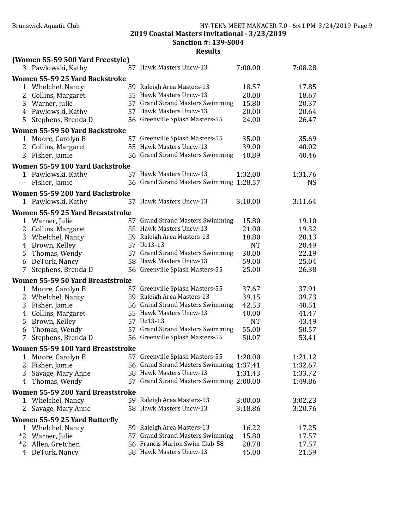Sanction #: 139-S004

|                        | (Women 55-59 500 Yard Freestyle)  |                                          |           |           |
|------------------------|-----------------------------------|------------------------------------------|-----------|-----------|
|                        | 3 Pawlowski, Kathy                | 57 Hawk Masters Uncw-13                  | 7:00.00   | 7:08.28   |
|                        | Women 55-59 25 Yard Backstroke    |                                          |           |           |
| $\mathbf{1}$           | Whelchel, Nancy                   | 59 Raleigh Area Masters-13               | 18.57     | 17.85     |
| 2                      | Collins, Margaret                 | 55 Hawk Masters Uncw-13                  | 20.00     | 18.67     |
| 3                      | Warner, Julie                     | 57 Grand Strand Masters Swimming         | 15.80     | 20.37     |
|                        | 4 Pawlowski, Kathy                | 57 Hawk Masters Uncw-13                  | 20.00     | 20.64     |
| 5                      | Stephens, Brenda D                | 56 Greenville Splash Masters-55          | 24.00     | 26.47     |
|                        | Women 55-59 50 Yard Backstroke    |                                          |           |           |
|                        | 1 Moore, Carolyn B                | 57 Greenville Splash Masters-55          | 35.00     | 35.69     |
| 2                      | Collins, Margaret                 | 55 Hawk Masters Uncw-13                  | 39.00     | 40.02     |
| 3                      | Fisher, Jamie                     | 56 Grand Strand Masters Swimming         | 40.89     | 40.46     |
|                        | Women 55-59 100 Yard Backstroke   |                                          |           |           |
|                        | 1 Pawlowski, Kathy                | 57 Hawk Masters Uncw-13                  | 1:32.00   | 1:31.76   |
| $\scriptstyle\cdots$ . | Fisher, Jamie                     | 56 Grand Strand Masters Swimming 1:28.57 |           | <b>NS</b> |
|                        | Women 55-59 200 Yard Backstroke   |                                          |           |           |
|                        | 1 Pawlowski, Kathy                | 57 Hawk Masters Uncw-13                  | 3:10.00   | 3:11.64   |
|                        | Women 55-59 25 Yard Breaststroke  |                                          |           |           |
| 1                      | Warner, Julie                     | 57 Grand Strand Masters Swimming         | 15.80     | 19.10     |
| 2                      | Collins, Margaret                 | 55 Hawk Masters Uncw-13                  | 21.00     | 19.32     |
| 3                      | Whelchel, Nancy                   | 59 Raleigh Area Masters-13               | 18.80     | 20.13     |
| 4                      | Brown, Kelley                     | 57 Uc13-13                               | <b>NT</b> | 20.49     |
| 5                      | Thomas, Wendy                     | 57 Grand Strand Masters Swimming         | 30.00     | 22.19     |
| 6                      | DeTurk, Nancy                     | 58 Hawk Masters Uncw-13                  | 59.00     | 25.04     |
| 7                      | Stephens, Brenda D                | 56 Greenville Splash Masters-55          | 25.00     | 26.38     |
|                        | Women 55-59 50 Yard Breaststroke  |                                          |           |           |
| 1                      | Moore, Carolyn B                  | 57 Greenville Splash Masters-55          | 37.67     | 37.91     |
| 2                      | Whelchel, Nancy                   | 59 Raleigh Area Masters-13               | 39.15     | 39.73     |
| 3                      | Fisher, Jamie                     | 56 Grand Strand Masters Swimming         | 42.53     | 40.51     |
| 4                      | Collins, Margaret                 | 55 Hawk Masters Uncw-13                  | 40.00     | 41.47     |
| 5                      | Brown, Kelley                     | 57 Uc13-13                               | <b>NT</b> | 43.49     |
| 6                      | Thomas, Wendy                     | 57 Grand Strand Masters Swimming         | 55.00     | 50.57     |
| 7                      | Stephens, Brenda D                | 56 Greenville Splash Masters-55          | 50.07     | 53.41     |
|                        | Women 55-59 100 Yard Breaststroke |                                          |           |           |
| 1                      | Moore, Carolyn B                  | 57 Greenville Splash Masters-55          | 1:20.00   | 1:21.12   |
| 2                      | Fisher, Jamie                     | 56 Grand Strand Masters Swimming 1:37.41 |           | 1:32.67   |
| 3                      | Savage, Mary Anne                 | 58 Hawk Masters Uncw-13                  | 1:31.43   | 1:33.72   |
| 4                      | Thomas, Wendy                     | 57 Grand Strand Masters Swimming 2:00.00 |           | 1:49.86   |
|                        | Women 55-59 200 Yard Breaststroke |                                          |           |           |
| 1                      | Whelchel, Nancy                   | 59 Raleigh Area Masters-13               | 3:00.00   | 3:02.23   |
| 2                      | Savage, Mary Anne                 | 58 Hawk Masters Uncw-13                  | 3:18.86   | 3:20.76   |
|                        | Women 55-59 25 Yard Butterfly     |                                          |           |           |
| 1                      | Whelchel, Nancy                   | 59 Raleigh Area Masters-13               | 16.22     | 17.25     |
| $*2$                   | Warner, Julie                     | 57 Grand Strand Masters Swimming         | 15.80     | 17.57     |
| *2                     | Allen, Gretchen                   | 56 Francis Marion Swim Club-58           | 28.78     | 17.57     |
| 4                      | DeTurk, Nancy                     | 58 Hawk Masters Uncw-13                  | 45.00     | 21.59     |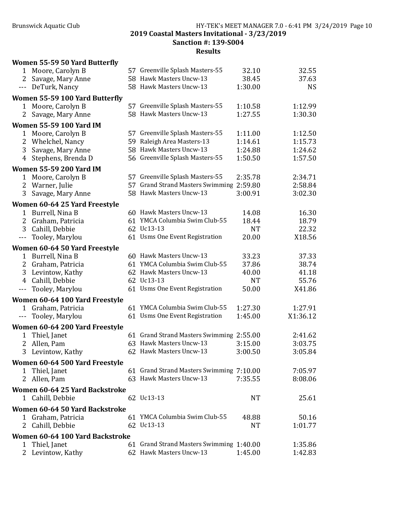#### Brunswick Aquatic Club HY-TEK's MEET MANAGER 7.0 - 6:41 PM 3/24/2019 Page 10 2019 Coastal Masters Invitational - 3/23/2019 Sanction #: 139-S004

|                | <b>Women 55-59 50 Yard Butterfly</b>              |                                          |           |           |
|----------------|---------------------------------------------------|------------------------------------------|-----------|-----------|
| $\mathbf{1}$   | Moore, Carolyn B                                  | 57 Greenville Splash Masters-55          | 32.10     | 32.55     |
| 2              | Savage, Mary Anne                                 | 58 Hawk Masters Uncw-13                  | 38.45     | 37.63     |
| ---            | DeTurk, Nancy                                     | 58 Hawk Masters Uncw-13                  | 1:30.00   | <b>NS</b> |
|                | Women 55-59 100 Yard Butterfly                    |                                          |           |           |
| 1              | Moore, Carolyn B                                  | 57 Greenville Splash Masters-55          | 1:10.58   | 1:12.99   |
| 2              | Savage, Mary Anne                                 | 58 Hawk Masters Uncw-13                  | 1:27.55   | 1:30.30   |
|                | <b>Women 55-59 100 Yard IM</b>                    |                                          |           |           |
| $\mathbf{1}$   | Moore, Carolyn B                                  | 57 Greenville Splash Masters-55          | 1:11.00   | 1:12.50   |
| 2              | Whelchel, Nancy                                   | 59 Raleigh Area Masters-13               | 1:14.61   | 1:15.73   |
| 3              | Savage, Mary Anne                                 | 58 Hawk Masters Uncw-13                  | 1:24.88   | 1:24.62   |
| $\overline{4}$ | Stephens, Brenda D                                | 56 Greenville Splash Masters-55          | 1:50.50   | 1:57.50   |
|                | <b>Women 55-59 200 Yard IM</b>                    |                                          |           |           |
| $\mathbf{1}$   | Moore, Carolyn B                                  | 57 Greenville Splash Masters-55          | 2:35.78   | 2:34.71   |
|                | 2 Warner, Julie                                   | 57 Grand Strand Masters Swimming 2:59.80 |           | 2:58.84   |
| 3              | Savage, Mary Anne                                 | 58 Hawk Masters Uncw-13                  | 3:00.91   | 3:02.30   |
|                | Women 60-64 25 Yard Freestyle                     |                                          |           |           |
| $\mathbf{1}$   | Burrell, Nina B                                   | 60 Hawk Masters Uncw-13                  | 14.08     | 16.30     |
| $\overline{2}$ | Graham, Patricia                                  | 61 YMCA Columbia Swim Club-55            | 18.44     | 18.79     |
| 3              | Cahill, Debbie                                    | 62 Uc13-13                               | <b>NT</b> | 22.32     |
| $---$          | Tooley, Marylou                                   | 61 Usms One Event Registration           | 20.00     | X18.56    |
|                | Women 60-64 50 Yard Freestyle                     |                                          |           |           |
| $\mathbf{1}$   | Burrell, Nina B                                   | 60 Hawk Masters Uncw-13                  | 33.23     | 37.33     |
|                | 2 Graham, Patricia                                | 61 YMCA Columbia Swim Club-55            | 37.86     | 38.74     |
| 3              | Levintow, Kathy                                   | 62 Hawk Masters Uncw-13                  | 40.00     | 41.18     |
|                | 4 Cahill, Debbie                                  | 62 Uc13-13                               | <b>NT</b> | 55.76     |
| $---$          | Tooley, Marylou                                   | 61 Usms One Event Registration           | 50.00     | X41.86    |
|                | Women 60-64 100 Yard Freestyle                    |                                          |           |           |
| 1              | Graham, Patricia                                  | 61 YMCA Columbia Swim Club-55            | 1:27.30   | 1:27.91   |
| ---            | Tooley, Marylou                                   | 61 Usms One Event Registration           | 1:45.00   | X1:36.12  |
|                | Women 60-64 200 Yard Freestyle                    |                                          |           |           |
| 1              | Thiel, Janet                                      | 61 Grand Strand Masters Swimming 2:55.00 |           | 2:41.62   |
| 2              | Allen, Pam                                        | 63 Hawk Masters Uncw-13                  | 3:15.00   | 3:03.75   |
| 3              | Levintow, Kathy                                   | 62 Hawk Masters Uncw-13                  | 3:00.50   | 3:05.84   |
|                | Women 60-64 500 Yard Freestyle                    |                                          |           |           |
| 1              | Thiel, Janet                                      | 61 Grand Strand Masters Swimming 7:10.00 |           | 7:05.97   |
|                | 2 Allen, Pam                                      | 63 Hawk Masters Uncw-13                  | 7:35.55   | 8:08.06   |
|                | Women 60-64 25 Yard Backstroke                    |                                          |           |           |
| 1              | Cahill, Debbie                                    | 62 Uc13-13                               | <b>NT</b> | 25.61     |
|                | Women 60-64 50 Yard Backstroke                    |                                          |           |           |
|                | 1 Graham, Patricia                                | 61 YMCA Columbia Swim Club-55            | 48.88     | 50.16     |
| 2              | Cahill, Debbie                                    | 62 Uc13-13                               | NT        | 1:01.77   |
|                |                                                   |                                          |           |           |
|                | Women 60-64 100 Yard Backstroke<br>1 Thiel, Janet | 61 Grand Strand Masters Swimming 1:40.00 |           | 1:35.86   |
|                | 2 Levintow, Kathy                                 | 62 Hawk Masters Uncw-13                  | 1:45.00   | 1:42.83   |
|                |                                                   |                                          |           |           |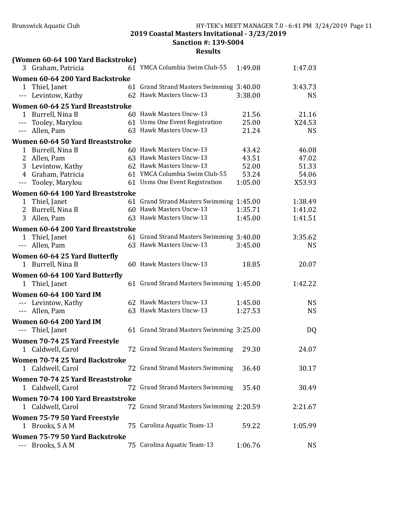Sanction #: 139-S004

| (Women 60-64 100 Yard Backstroke)         |                                          |         |           |
|-------------------------------------------|------------------------------------------|---------|-----------|
| 3 Graham, Patricia                        | 61 YMCA Columbia Swim Club-55            | 1:49.08 | 1:47.03   |
| Women 60-64 200 Yard Backstroke           |                                          |         |           |
| 1 Thiel, Janet                            | 61 Grand Strand Masters Swimming 3:40.00 |         | 3:43.73   |
| --- Levintow, Kathy                       | 62 Hawk Masters Uncw-13                  | 3:38.00 | <b>NS</b> |
| Women 60-64 25 Yard Breaststroke          |                                          |         |           |
| 1 Burrell, Nina B                         | 60 Hawk Masters Uncw-13                  | 21.56   | 21.16     |
| --- Tooley, Marylou                       | 61 Usms One Event Registration           | 25.00   | X24.53    |
| --- Allen, Pam                            | 63 Hawk Masters Uncw-13                  | 21.24   | <b>NS</b> |
| Women 60-64 50 Yard Breaststroke          |                                          |         |           |
| 1 Burrell, Nina B                         | 60 Hawk Masters Uncw-13                  | 43.42   | 46.08     |
| 2 Allen, Pam                              | 63 Hawk Masters Uncw-13                  | 43.51   | 47.02     |
| 3 Levintow, Kathy                         | 62 Hawk Masters Uncw-13                  | 52.00   | 51.33     |
| 4 Graham, Patricia                        | 61 YMCA Columbia Swim Club-55            | 53.24   | 54.06     |
| Tooley, Marylou<br>$\scriptstyle\cdots$ . | 61 Usms One Event Registration           | 1:05.00 | X53.93    |
| Women 60-64 100 Yard Breaststroke         |                                          |         |           |
| 1 Thiel, Janet                            | 61 Grand Strand Masters Swimming 1:45.00 |         | 1:38.49   |
| 2 Burrell, Nina B                         | 60 Hawk Masters Uncw-13                  | 1:35.71 | 1:41.02   |
| 3 Allen, Pam                              | 63 Hawk Masters Uncw-13                  | 1:45.00 | 1:41.51   |
| Women 60-64 200 Yard Breaststroke         |                                          |         |           |
| 1 Thiel, Janet                            | 61 Grand Strand Masters Swimming 3:40.00 |         | 3:35.62   |
| --- Allen, Pam                            | 63 Hawk Masters Uncw-13                  | 3:45.00 | <b>NS</b> |
|                                           |                                          |         |           |
| Women 60-64 25 Yard Butterfly             |                                          |         |           |
| 1 Burrell, Nina B                         | 60 Hawk Masters Uncw-13                  | 18.85   | 20.07     |
| Women 60-64 100 Yard Butterfly            |                                          |         |           |
| 1 Thiel, Janet                            | 61 Grand Strand Masters Swimming 1:45.00 |         | 1:42.22   |
| <b>Women 60-64 100 Yard IM</b>            |                                          |         |           |
| --- Levintow, Kathy                       | 62 Hawk Masters Uncw-13                  | 1:45.00 | <b>NS</b> |
| --- Allen, Pam                            | 63 Hawk Masters Uncw-13                  | 1:27.53 | <b>NS</b> |
| <b>Women 60-64 200 Yard IM</b>            |                                          |         |           |
| --- Thiel, Janet                          | 61 Grand Strand Masters Swimming 3:25.00 |         | DQ        |
| Women 70-74 25 Yard Freestyle             |                                          |         |           |
| 1 Caldwell, Carol                         | 72 Grand Strand Masters Swimming         | 29.30   | 24.07     |
| <b>Women 70-74 25 Yard Backstroke</b>     |                                          |         |           |
| 1 Caldwell, Carol                         | 72 Grand Strand Masters Swimming         | 36.40   | 30.17     |
| Women 70-74 25 Yard Breaststroke          |                                          |         |           |
| 1 Caldwell, Carol                         | 72 Grand Strand Masters Swimming         | 35.40   | 30.49     |
|                                           |                                          |         |           |
| Women 70-74 100 Yard Breaststroke         |                                          |         |           |
| 1 Caldwell, Carol                         | 72 Grand Strand Masters Swimming 2:20.59 |         | 2:21.67   |
| Women 75-79 50 Yard Freestyle             |                                          |         |           |
| 1 Brooks, SAM                             | 75 Carolina Aquatic Team-13              | 59.22   | 1:05.99   |
| Women 75-79 50 Yard Backstroke            |                                          |         |           |
| --- Brooks, SAM                           | 75 Carolina Aquatic Team-13              | 1:06.76 | <b>NS</b> |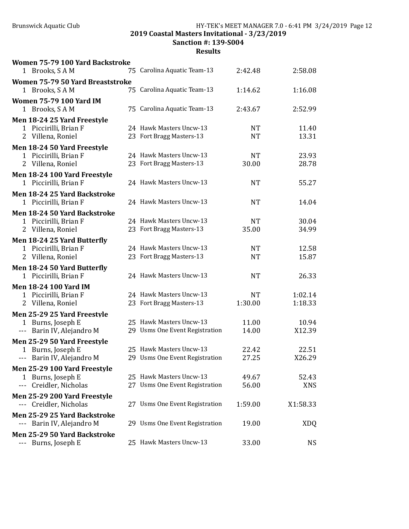# Brunswick Aquatic Club HY-TEK's MEET MANAGER 7.0 - 6:41 PM 3/24/2019 Page 12

2019 Coastal Masters Invitational - 3/23/2019

Sanction #: 139-S004

| Women 75-79 100 Yard Backstroke          |                                |           |            |
|------------------------------------------|--------------------------------|-----------|------------|
| 1 Brooks, SAM                            | 75 Carolina Aquatic Team-13    | 2:42.48   | 2:58.08    |
| Women 75-79 50 Yard Breaststroke         |                                |           |            |
| 1 Brooks, SAM                            | 75 Carolina Aquatic Team-13    | 1:14.62   | 1:16.08    |
| <b>Women 75-79 100 Yard IM</b>           |                                |           |            |
| 1 Brooks, SAM                            | 75 Carolina Aquatic Team-13    | 2:43.67   | 2:52.99    |
| Men 18-24 25 Yard Freestyle              |                                |           |            |
| 1 Piccirilli, Brian F                    | 24 Hawk Masters Uncw-13        | <b>NT</b> | 11.40      |
| 2 Villena, Roniel                        | 23 Fort Bragg Masters-13       | <b>NT</b> | 13.31      |
| Men 18-24 50 Yard Freestyle              |                                |           |            |
| 1 Piccirilli, Brian F                    | 24 Hawk Masters Uncw-13        | <b>NT</b> | 23.93      |
| 2 Villena, Roniel                        | 23 Fort Bragg Masters-13       | 30.00     | 28.78      |
| Men 18-24 100 Yard Freestyle             |                                |           |            |
| 1 Piccirilli, Brian F                    | 24 Hawk Masters Uncw-13        | <b>NT</b> | 55.27      |
| Men 18-24 25 Yard Backstroke             |                                |           |            |
| 1 Piccirilli, Brian F                    | 24 Hawk Masters Uncw-13        | <b>NT</b> | 14.04      |
| Men 18-24 50 Yard Backstroke             |                                |           |            |
| 1 Piccirilli, Brian F                    | 24 Hawk Masters Uncw-13        | <b>NT</b> | 30.04      |
| 2 Villena, Roniel                        | 23 Fort Bragg Masters-13       | 35.00     | 34.99      |
| Men 18-24 25 Yard Butterfly              |                                |           |            |
| 1 Piccirilli, Brian F                    | 24 Hawk Masters Uncw-13        | NT        | 12.58      |
| 2 Villena, Roniel                        | 23 Fort Bragg Masters-13       | <b>NT</b> | 15.87      |
| Men 18-24 50 Yard Butterfly              |                                |           |            |
| 1 Piccirilli, Brian F                    | 24 Hawk Masters Uncw-13        | <b>NT</b> | 26.33      |
| <b>Men 18-24 100 Yard IM</b>             |                                |           |            |
| 1 Piccirilli, Brian F                    | 24 Hawk Masters Uncw-13        | <b>NT</b> | 1:02.14    |
| 2 Villena, Roniel                        | 23 Fort Bragg Masters-13       | 1:30.00   | 1:18.33    |
| Men 25-29 25 Yard Freestyle              |                                |           |            |
| 1 Burns, Joseph E                        | 25 Hawk Masters Uncw-13        | 11.00     | 10.94      |
| --- Barin IV, Alejandro M                | 29 Usms One Event Registration | 14.00     | X12.39     |
| Men 25-29 50 Yard Freestyle              |                                |           |            |
| 1 Burns, Joseph E                        | 25 Hawk Masters Uncw-13        | 22.42     | 22.51      |
| --- Barin IV, Alejandro M                | 29 Usms One Event Registration | 27.25     | X26.29     |
| Men 25-29 100 Yard Freestyle             |                                |           |            |
| 1 Burns, Joseph E                        | 25 Hawk Masters Uncw-13        | 49.67     | 52.43      |
| Creidler, Nicholas<br>$\qquad \qquad -1$ | 27 Usms One Event Registration | 56.00     | <b>XNS</b> |
| Men 25-29 200 Yard Freestyle             |                                |           |            |
| Creidler, Nicholas                       | 27 Usms One Event Registration | 1:59.00   | X1:58.33   |
| Men 25-29 25 Yard Backstroke             |                                |           |            |
| --- Barin IV, Alejandro M                | 29 Usms One Event Registration | 19.00     | <b>XDQ</b> |
| Men 25-29 50 Yard Backstroke             |                                |           |            |
| --- Burns, Joseph E                      | 25 Hawk Masters Uncw-13        | 33.00     | <b>NS</b>  |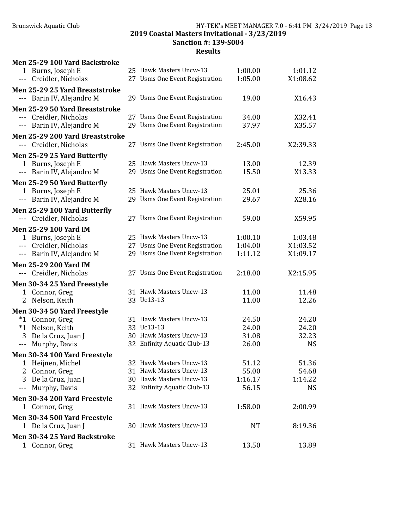#### Brunswick Aquatic Club HY-TEK's MEET MANAGER 7.0 - 6:41 PM 3/24/2019 Page 13 2019 Coastal Masters Invitational - 3/23/2019 Sanction #: 139-S004

| Men 25-29 100 Yard Backstroke                                                                                                                                                                                                                                                                                                                                                                                         |                                                           |                |                 |
|-----------------------------------------------------------------------------------------------------------------------------------------------------------------------------------------------------------------------------------------------------------------------------------------------------------------------------------------------------------------------------------------------------------------------|-----------------------------------------------------------|----------------|-----------------|
| 1 Burns, Joseph E                                                                                                                                                                                                                                                                                                                                                                                                     | 25 Hawk Masters Uncw-13                                   | 1:00.00        | 1:01.12         |
| Creidler, Nicholas<br>$\sim$ $\sim$ $\sim$                                                                                                                                                                                                                                                                                                                                                                            | 27 Usms One Event Registration                            | 1:05.00        | X1:08.62        |
| Men 25-29 25 Yard Breaststroke                                                                                                                                                                                                                                                                                                                                                                                        |                                                           |                |                 |
| Barin IV, Alejandro M                                                                                                                                                                                                                                                                                                                                                                                                 | 29 Usms One Event Registration                            | 19.00          | X16.43          |
| Men 25-29 50 Yard Breaststroke                                                                                                                                                                                                                                                                                                                                                                                        |                                                           |                |                 |
| --- Creidler, Nicholas                                                                                                                                                                                                                                                                                                                                                                                                | 27 Usms One Event Registration                            | 34.00          | X32.41          |
| Barin IV, Alejandro M<br>$\frac{1}{2} \frac{1}{2} \frac{1}{2} \frac{1}{2} \frac{1}{2} \frac{1}{2} \frac{1}{2} \frac{1}{2} \frac{1}{2} \frac{1}{2} \frac{1}{2} \frac{1}{2} \frac{1}{2} \frac{1}{2} \frac{1}{2} \frac{1}{2} \frac{1}{2} \frac{1}{2} \frac{1}{2} \frac{1}{2} \frac{1}{2} \frac{1}{2} \frac{1}{2} \frac{1}{2} \frac{1}{2} \frac{1}{2} \frac{1}{2} \frac{1}{2} \frac{1}{2} \frac{1}{2} \frac{1}{2} \frac{$ | 29 Usms One Event Registration                            | 37.97          | X35.57          |
| Men 25-29 200 Yard Breaststroke                                                                                                                                                                                                                                                                                                                                                                                       |                                                           |                |                 |
| --- Creidler, Nicholas                                                                                                                                                                                                                                                                                                                                                                                                | 27 Usms One Event Registration                            | 2:45.00        | X2:39.33        |
|                                                                                                                                                                                                                                                                                                                                                                                                                       |                                                           |                |                 |
| Men 25-29 25 Yard Butterfly                                                                                                                                                                                                                                                                                                                                                                                           |                                                           |                |                 |
| 1 Burns, Joseph E                                                                                                                                                                                                                                                                                                                                                                                                     | 25 Hawk Masters Uncw-13<br>29 Usms One Event Registration | 13.00<br>15.50 | 12.39<br>X13.33 |
| Barin IV, Alejandro M<br>$\scriptstyle\cdots$ .                                                                                                                                                                                                                                                                                                                                                                       |                                                           |                |                 |
| Men 25-29 50 Yard Butterfly                                                                                                                                                                                                                                                                                                                                                                                           |                                                           |                |                 |
| 1 Burns, Joseph E                                                                                                                                                                                                                                                                                                                                                                                                     | 25 Hawk Masters Uncw-13                                   | 25.01          | 25.36           |
| Barin IV, Alejandro M<br>$\scriptstyle\cdots$ .                                                                                                                                                                                                                                                                                                                                                                       | 29 Usms One Event Registration                            | 29.67          | X28.16          |
| Men 25-29 100 Yard Butterfly                                                                                                                                                                                                                                                                                                                                                                                          |                                                           |                |                 |
| --- Creidler, Nicholas                                                                                                                                                                                                                                                                                                                                                                                                | 27 Usms One Event Registration                            | 59.00          | X59.95          |
| <b>Men 25-29 100 Yard IM</b>                                                                                                                                                                                                                                                                                                                                                                                          |                                                           |                |                 |
| 1 Burns, Joseph E                                                                                                                                                                                                                                                                                                                                                                                                     | 25 Hawk Masters Uncw-13                                   | 1:00.10        | 1:03.48         |
| --- Creidler, Nicholas                                                                                                                                                                                                                                                                                                                                                                                                | 27 Usms One Event Registration                            | 1:04.00        | X1:03.52        |
| --- Barin IV, Alejandro M                                                                                                                                                                                                                                                                                                                                                                                             | 29 Usms One Event Registration                            | 1:11.12        | X1:09.17        |
| <b>Men 25-29 200 Yard IM</b>                                                                                                                                                                                                                                                                                                                                                                                          |                                                           |                |                 |
| --- Creidler, Nicholas                                                                                                                                                                                                                                                                                                                                                                                                | 27 Usms One Event Registration                            | 2:18.00        | X2:15.95        |
| Men 30-34 25 Yard Freestyle                                                                                                                                                                                                                                                                                                                                                                                           |                                                           |                |                 |
| 1 Connor, Greg                                                                                                                                                                                                                                                                                                                                                                                                        | 31 Hawk Masters Uncw-13                                   | 11.00          | 11.48           |
| Nelson, Keith<br>2                                                                                                                                                                                                                                                                                                                                                                                                    | 33 Uc13-13                                                | 11.00          | 12.26           |
| Men 30-34 50 Yard Freestyle                                                                                                                                                                                                                                                                                                                                                                                           |                                                           |                |                 |
| $*1$<br>Connor, Greg                                                                                                                                                                                                                                                                                                                                                                                                  | 31 Hawk Masters Uncw-13                                   | 24.50          | 24.20           |
| Nelson, Keith<br>$*1$                                                                                                                                                                                                                                                                                                                                                                                                 | 33 Uc13-13                                                | 24.00          | 24.20           |
| 3<br>De la Cruz, Juan J                                                                                                                                                                                                                                                                                                                                                                                               | 30 Hawk Masters Uncw-13                                   | 31.08          | 32.23           |
| Murphy, Davis<br>$- - -$                                                                                                                                                                                                                                                                                                                                                                                              | 32 Enfinity Aquatic Club-13                               | 26.00          | <b>NS</b>       |
| Men 30-34 100 Yard Freestyle                                                                                                                                                                                                                                                                                                                                                                                          |                                                           |                |                 |
| Heijnen, Michel<br>1                                                                                                                                                                                                                                                                                                                                                                                                  | 32 Hawk Masters Uncw-13                                   | 51.12          | 51.36           |
| Connor, Greg<br>2                                                                                                                                                                                                                                                                                                                                                                                                     | 31 Hawk Masters Uncw-13                                   | 55.00          | 54.68           |
| De la Cruz, Juan J<br>3                                                                                                                                                                                                                                                                                                                                                                                               | 30 Hawk Masters Uncw-13                                   | 1:16.17        | 1:14.22         |
| Murphy, Davis<br>---                                                                                                                                                                                                                                                                                                                                                                                                  | 32 Enfinity Aquatic Club-13                               | 56.15          | <b>NS</b>       |
| Men 30-34 200 Yard Freestyle                                                                                                                                                                                                                                                                                                                                                                                          |                                                           |                |                 |
| 1 Connor, Greg                                                                                                                                                                                                                                                                                                                                                                                                        | 31 Hawk Masters Uncw-13                                   | 1:58.00        | 2:00.99         |
|                                                                                                                                                                                                                                                                                                                                                                                                                       |                                                           |                |                 |
| Men 30-34 500 Yard Freestyle                                                                                                                                                                                                                                                                                                                                                                                          | 30 Hawk Masters Uncw-13                                   |                |                 |
| 1 De la Cruz, Juan J                                                                                                                                                                                                                                                                                                                                                                                                  |                                                           | <b>NT</b>      | 8:19.36         |
| Men 30-34 25 Yard Backstroke                                                                                                                                                                                                                                                                                                                                                                                          |                                                           |                |                 |
| 1 Connor, Greg                                                                                                                                                                                                                                                                                                                                                                                                        | 31 Hawk Masters Uncw-13                                   | 13.50          | 13.89           |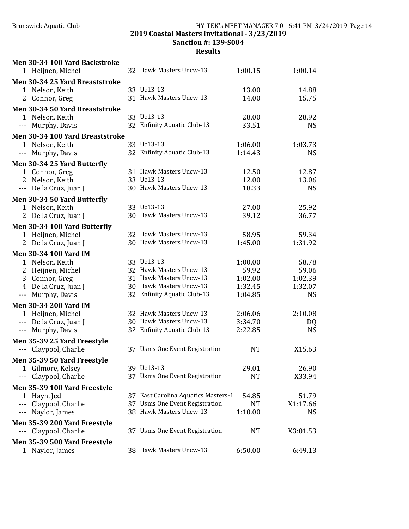# Brunswick Aquatic Club **HY-TEK's MEET MANAGER 7.0 - 6:41 PM 3/24/2019** Page 14

2019 Coastal Masters Invitational - 3/23/2019

Sanction #: 139-S004

| Men 30-34 100 Yard Backstroke           |                                     |           |           |
|-----------------------------------------|-------------------------------------|-----------|-----------|
| 1 Heijnen, Michel                       | 32 Hawk Masters Uncw-13             | 1:00.15   | 1:00.14   |
| Men 30-34 25 Yard Breaststroke          |                                     |           |           |
| 1 Nelson, Keith                         | 33 Uc13-13                          | 13.00     | 14.88     |
| 2 Connor, Greg                          | 31 Hawk Masters Uncw-13             | 14.00     | 15.75     |
| Men 30-34 50 Yard Breaststroke          |                                     |           |           |
| 1 Nelson, Keith                         | 33 Uc13-13                          | 28.00     | 28.92     |
| Murphy, Davis<br>$\sim$ $\sim$ $\sim$   | 32 Enfinity Aquatic Club-13         | 33.51     | <b>NS</b> |
| Men 30-34 100 Yard Breaststroke         |                                     |           |           |
| 1 Nelson, Keith                         | 33 Uc13-13                          | 1:06.00   | 1:03.73   |
| --- Murphy, Davis                       | 32 Enfinity Aquatic Club-13         | 1:14.43   | <b>NS</b> |
| Men 30-34 25 Yard Butterfly             |                                     |           |           |
| 1 Connor, Greg                          | 31 Hawk Masters Uncw-13             | 12.50     | 12.87     |
| 2 Nelson, Keith                         | 33 Uc13-13                          | 12.00     | 13.06     |
| --- De la Cruz, Juan J                  | 30 Hawk Masters Uncw-13             | 18.33     | <b>NS</b> |
| Men 30-34 50 Yard Butterfly             |                                     |           |           |
| 1 Nelson, Keith                         | 33 Uc13-13                          | 27.00     | 25.92     |
| 2 De la Cruz, Juan J                    | 30 Hawk Masters Uncw-13             | 39.12     | 36.77     |
| Men 30-34 100 Yard Butterfly            |                                     |           |           |
| 1 Heijnen, Michel                       | 32 Hawk Masters Uncw-13             | 58.95     | 59.34     |
| 2 De la Cruz, Juan J                    | 30 Hawk Masters Uncw-13             | 1:45.00   | 1:31.92   |
| <b>Men 30-34 100 Yard IM</b>            |                                     |           |           |
| 1 Nelson, Keith                         | 33 Uc13-13                          | 1:00.00   | 58.78     |
| 2<br>Heijnen, Michel                    | 32 Hawk Masters Uncw-13             | 59.92     | 59.06     |
| 3 Connor, Greg                          | 31 Hawk Masters Uncw-13             | 1:02.00   | 1:02.39   |
| 4 De la Cruz, Juan J                    | 30 Hawk Masters Uncw-13             | 1:32.45   | 1:32.07   |
| Murphy, Davis<br>$\scriptstyle\cdots$ . | 32 Enfinity Aquatic Club-13         | 1:04.85   | <b>NS</b> |
| <b>Men 30-34 200 Yard IM</b>            |                                     |           |           |
| 1 Heijnen, Michel                       | 32 Hawk Masters Uncw-13             | 2:06.06   | 2:10.08   |
| --- De la Cruz, Juan J                  | 30 Hawk Masters Uncw-13             | 3:34.70   | DQ        |
| --- Murphy, Davis                       | 32 Enfinity Aquatic Club-13         | 2:22.85   | <b>NS</b> |
| Men 35-39 25 Yard Freestyle             |                                     |           |           |
| --- Claypool, Charlie                   | 37 Usms One Event Registration      | <b>NT</b> | X15.63    |
| Men 35-39 50 Yard Freestyle             |                                     |           |           |
| Gilmore, Kelsey<br>1                    | 39 Uc13-13                          | 29.01     | 26.90     |
| Claypool, Charlie<br>$---$              | 37 Usms One Event Registration      | <b>NT</b> | X33.94    |
| Men 35-39 100 Yard Freestyle            |                                     |           |           |
| Hayn, Jed<br>1                          | 37 East Carolina Aquatics Masters-1 | 54.85     | 51.79     |
| Claypool, Charlie<br>$---$              | 37 Usms One Event Registration      | NT        | X1:17.66  |
| Naylor, James                           | 38 Hawk Masters Uncw-13             | 1:10.00   | <b>NS</b> |
| Men 35-39 200 Yard Freestyle            |                                     |           |           |
| Claypool, Charlie                       | 37 Usms One Event Registration      | NT        | X3:01.53  |
| Men 35-39 500 Yard Freestyle            |                                     |           |           |
| 1 Naylor, James                         | 38 Hawk Masters Uncw-13             | 6:50.00   | 6:49.13   |
|                                         |                                     |           |           |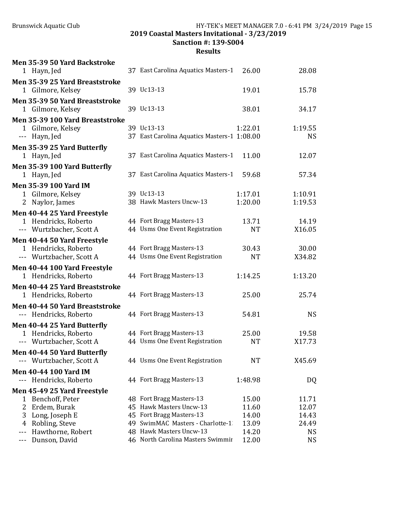Brunswick Aquatic Club HY-TEK's MEET MANAGER 7.0 - 6:41 PM 3/24/2019 Page 15

2019 Coastal Masters Invitational - 3/23/2019

Sanction #: 139-S004

|            | Men 35-39 50 Yard Backstroke<br>1 Hayn, Jed                                     | 37 East Carolina Aquatics Masters-1                          | 26.00              | 28.08                  |
|------------|---------------------------------------------------------------------------------|--------------------------------------------------------------|--------------------|------------------------|
|            | Men 35-39 25 Yard Breaststroke<br>1 Gilmore, Kelsey                             | 39 Uc13-13                                                   | 19.01              | 15.78                  |
|            | Men 35-39 50 Yard Breaststroke<br>1 Gilmore, Kelsey                             | 39 Uc13-13                                                   | 38.01              | 34.17                  |
|            | Men 35-39 100 Yard Breaststroke<br>1 Gilmore, Kelsey<br>--- Hayn, Jed           | 39 Uc13-13<br>37 East Carolina Aquatics Masters-1 1:08.00    | 1:22.01            | 1:19.55<br><b>NS</b>   |
|            | Men 35-39 25 Yard Butterfly<br>1 Hayn, Jed                                      | 37 East Carolina Aquatics Masters-1                          | 11.00              | 12.07                  |
|            | Men 35-39 100 Yard Butterfly<br>1 Hayn, Jed                                     | 37 East Carolina Aquatics Masters-1                          | 59.68              | 57.34                  |
|            | <b>Men 35-39 100 Yard IM</b><br>1 Gilmore, Kelsey<br>2 Naylor, James            | 39 Uc13-13<br>38 Hawk Masters Uncw-13                        | 1:17.01<br>1:20.00 | 1:10.91<br>1:19.53     |
|            | Men 40-44 25 Yard Freestyle<br>1 Hendricks, Roberto<br>--- Wurtzbacher, Scott A | 44 Fort Bragg Masters-13<br>44 Usms One Event Registration   | 13.71<br><b>NT</b> | 14.19<br>X16.05        |
|            | Men 40-44 50 Yard Freestyle<br>1 Hendricks, Roberto<br>--- Wurtzbacher, Scott A | 44 Fort Bragg Masters-13<br>44 Usms One Event Registration   | 30.43<br><b>NT</b> | 30.00<br>X34.82        |
|            | Men 40-44 100 Yard Freestyle<br>1 Hendricks, Roberto                            | 44 Fort Bragg Masters-13                                     | 1:14.25            | 1:13.20                |
|            | Men 40-44 25 Yard Breaststroke<br>1 Hendricks, Roberto                          | 44 Fort Bragg Masters-13                                     | 25.00              | 25.74                  |
|            | Men 40-44 50 Yard Breaststroke<br>--- Hendricks, Roberto                        | 44 Fort Bragg Masters-13                                     | 54.81              | <b>NS</b>              |
|            | Men 40-44 25 Yard Butterfly<br>1 Hendricks, Roberto<br>--- Wurtzbacher, Scott A | 44 Fort Bragg Masters-13<br>44 Usms One Event Registration   | 25.00<br><b>NT</b> | 19.58<br>X17.73        |
|            | Men 40-44 50 Yard Butterfly<br>Wurtzbacher, Scott A                             | 44 Usms One Event Registration                               | NT                 | X45.69                 |
| $---$      | <b>Men 40-44 100 Yard IM</b><br>Hendricks, Roberto                              | 44 Fort Bragg Masters-13                                     | 1:48.98            | DQ                     |
|            | Men 45-49 25 Yard Freestyle                                                     |                                                              |                    |                        |
| 1          | Benchoff, Peter                                                                 | 48 Fort Bragg Masters-13                                     | 15.00              | 11.71                  |
| 2          | Erdem, Burak                                                                    | 45 Hawk Masters Uncw-13                                      | 11.60              | 12.07                  |
| 3          | Long, Joseph E                                                                  | 45 Fort Bragg Masters-13                                     | 14.00              | 14.43                  |
| 4          | Robling, Steve                                                                  | 49 SwimMAC Masters - Charlotte-1                             | 13.09              | 24.49                  |
| ---<br>--- | Hawthorne, Robert<br>Dunson, David                                              | 48 Hawk Masters Uncw-13<br>46 North Carolina Masters Swimmir | 14.20<br>12.00     | <b>NS</b><br><b>NS</b> |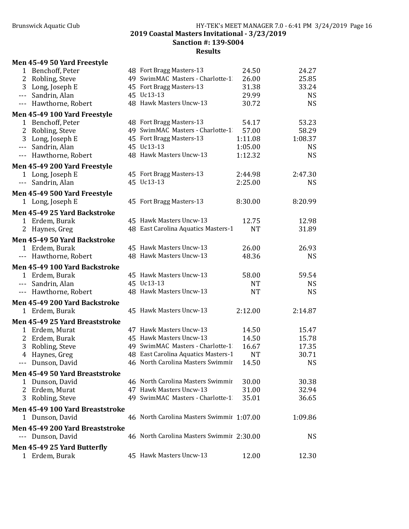| $\mathbf{1}$         | Benchoff, Peter                                  | 48 Fort Bragg Masters-13                  | 24.50     | 24.27     |
|----------------------|--------------------------------------------------|-------------------------------------------|-----------|-----------|
| 2                    | Robling, Steve                                   | 49 SwimMAC Masters - Charlotte-1          | 26.00     | 25.85     |
| 3                    | Long, Joseph E                                   | 45 Fort Bragg Masters-13                  | 31.38     | 33.24     |
| $\sim$ $\sim$ $\sim$ | Sandrin, Alan                                    | 45 Uc13-13                                | 29.99     | <b>NS</b> |
| $\cdots$             | Hawthorne, Robert                                | 48 Hawk Masters Uncw-13                   | 30.72     | <b>NS</b> |
|                      | Men 45-49 100 Yard Freestyle                     |                                           |           |           |
|                      | 1 Benchoff, Peter                                | 48 Fort Bragg Masters-13                  | 54.17     | 53.23     |
| 2                    | Robling, Steve                                   | 49 SwimMAC Masters - Charlotte-1          | 57.00     | 58.29     |
|                      | 3 Long, Joseph E                                 | 45 Fort Bragg Masters-13                  | 1:11.08   | 1:08.37   |
| $- - -$              | Sandrin, Alan                                    | 45 Uc13-13                                | 1:05.00   | <b>NS</b> |
|                      | --- Hawthorne, Robert                            | 48 Hawk Masters Uncw-13                   | 1:12.32   | <b>NS</b> |
|                      |                                                  |                                           |           |           |
|                      | Men 45-49 200 Yard Freestyle<br>1 Long, Joseph E | 45 Fort Bragg Masters-13                  | 2:44.98   | 2:47.30   |
| $\sim$ $\sim$ $\sim$ | Sandrin, Alan                                    | 45 Uc13-13                                | 2:25.00   | <b>NS</b> |
|                      |                                                  |                                           |           |           |
|                      | Men 45-49 500 Yard Freestyle                     |                                           |           |           |
|                      | 1 Long, Joseph E                                 | 45 Fort Bragg Masters-13                  | 8:30.00   | 8:20.99   |
|                      | Men 45-49 25 Yard Backstroke                     |                                           |           |           |
|                      | 1 Erdem, Burak                                   | 45 Hawk Masters Uncw-13                   | 12.75     | 12.98     |
| 2                    | Haynes, Greg                                     | 48 East Carolina Aquatics Masters-1       | <b>NT</b> | 31.89     |
|                      | Men 45-49 50 Yard Backstroke                     |                                           |           |           |
|                      | 1 Erdem, Burak                                   | 45 Hawk Masters Uncw-13                   | 26.00     | 26.93     |
|                      | Hawthorne, Robert                                | 48 Hawk Masters Uncw-13                   | 48.36     | <b>NS</b> |
|                      | Men 45-49 100 Yard Backstroke                    |                                           |           |           |
|                      | 1 Erdem, Burak                                   | 45 Hawk Masters Uncw-13                   | 58.00     | 59.54     |
| $\sim$ $\sim$ $\sim$ | Sandrin, Alan                                    | 45 Uc13-13                                | <b>NT</b> | <b>NS</b> |
|                      | --- Hawthorne, Robert                            | 48 Hawk Masters Uncw-13                   | <b>NT</b> | <b>NS</b> |
|                      |                                                  |                                           |           |           |
|                      | Men 45-49 200 Yard Backstroke                    |                                           |           |           |
|                      | 1 Erdem, Burak                                   | 45 Hawk Masters Uncw-13                   | 2:12.00   | 2:14.87   |
|                      | Men 45-49 25 Yard Breaststroke                   |                                           |           |           |
| $\mathbf{1}$         | Erdem, Murat                                     | 47 Hawk Masters Uncw-13                   | 14.50     | 15.47     |
| 2                    | Erdem, Burak                                     | 45 Hawk Masters Uncw-13                   | 14.50     | 15.78     |
| 3                    | Robling, Steve                                   | 49 SwimMAC Masters - Charlotte-1          | 16.67     | 17.35     |
| $\overline{4}$       | Haynes, Greg                                     | 48 East Carolina Aquatics Masters-1       | <b>NT</b> | 30.71     |
| $-$                  | Dunson, David                                    | 46 North Carolina Masters Swimmir         | 14.50     | <b>NS</b> |
|                      | Men 45-49 50 Yard Breaststroke                   |                                           |           |           |
| 1                    | Dunson, David                                    | 46 North Carolina Masters Swimmir         | 30.00     | 30.38     |
|                      | 2 Erdem, Murat                                   | 47 Hawk Masters Uncw-13                   | 31.00     | 32.94     |
| 3                    | Robling, Steve                                   | 49 SwimMAC Masters - Charlotte-1          | 35.01     | 36.65     |
|                      | Men 45-49 100 Yard Breaststroke                  |                                           |           |           |
|                      |                                                  | 46 North Carolina Masters Swimmir 1:07.00 |           |           |
|                      | 1 Dunson, David                                  |                                           |           | 1:09.86   |
|                      | Men 45-49 200 Yard Breaststroke                  |                                           |           |           |
|                      | Dunson, David                                    | 46 North Carolina Masters Swimmir 2:30.00 |           | <b>NS</b> |
|                      | Men 45-49 25 Yard Butterfly                      |                                           |           |           |
|                      | 1 Erdem, Burak                                   | 45 Hawk Masters Uncw-13                   | 12.00     | 12.30     |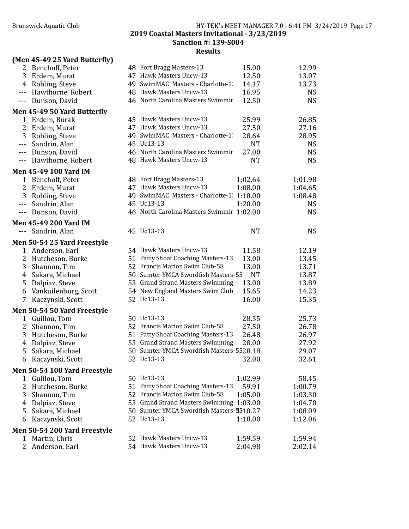Sanction #: 139-S004

|                    | (Men 45-49 25 Yard Butterfly) |                                           |           |           |
|--------------------|-------------------------------|-------------------------------------------|-----------|-----------|
| 2                  | Benchoff, Peter               | 48 Fort Bragg Masters-13                  | 15.00     | 12.99     |
| 3                  | Erdem, Murat                  | 47 Hawk Masters Uncw-13                   | 12.50     | 13.07     |
| 4                  | Robling, Steve                | 49 SwimMAC Masters - Charlotte-1          | 14.17     | 13.73     |
| $- - -$            | Hawthorne, Robert             | 48 Hawk Masters Uncw-13                   | 16.95     | <b>NS</b> |
| $- - -$            | Dunson, David                 | 46 North Carolina Masters Swimmir         | 12.50     | <b>NS</b> |
|                    | Men 45-49 50 Yard Butterfly   |                                           |           |           |
| 1                  | Erdem, Burak                  | 45 Hawk Masters Uncw-13                   | 25.99     | 26.85     |
| 2                  | Erdem, Murat                  | 47 Hawk Masters Uncw-13                   | 27.50     | 27.16     |
| 3                  | Robling, Steve                | 49 SwimMAC Masters - Charlotte-1          | 28.64     | 28.95     |
| $\qquad \qquad -$  | Sandrin, Alan                 | 45 Uc13-13                                | <b>NT</b> | <b>NS</b> |
| $- - -$            | Dunson, David                 | 46 North Carolina Masters Swimmir         | 27.00     | <b>NS</b> |
| $---$              | Hawthorne, Robert             | 48 Hawk Masters Uncw-13                   | <b>NT</b> | <b>NS</b> |
|                    | <b>Men 45-49 100 Yard IM</b>  |                                           |           |           |
| 1                  | Benchoff, Peter               | 48 Fort Bragg Masters-13                  | 1:02.64   | 1:01.98   |
| 2                  | Erdem, Murat                  | 47 Hawk Masters Uncw-13                   | 1:08.00   | 1:04.65   |
| 3                  | Robling, Steve                | 49 SwimMAC Masters - Charlotte-1 1:10.00  |           | 1:08.48   |
| $\qquad \qquad -1$ | Sandrin, Alan                 | 45 Uc13-13                                | 1:20.00   | <b>NS</b> |
| $- - -$            | Dunson, David                 | 46 North Carolina Masters Swimmir 1:02.00 |           | <b>NS</b> |
|                    | <b>Men 45-49 200 Yard IM</b>  |                                           |           |           |
| $- - -$            | Sandrin, Alan                 | 45 Uc13-13                                | <b>NT</b> | <b>NS</b> |
|                    | Men 50-54 25 Yard Freestyle   |                                           |           |           |
| 1                  | Anderson, Earl                | 54 Hawk Masters Uncw-13                   | 11.58     | 12.19     |
| 2                  | Hutcheson, Burke              | 51 Patty Shoaf Coaching Masters-13        | 13.00     | 13.45     |
| 3                  | Shannon, Tim                  | 52 Francis Marion Swim Club-58            | 13.00     | 13.71     |
| 4                  | Sakara, Michael               | 50 Sumter YMCA Swordfish Masters-55       | <b>NT</b> | 13.87     |
| 5                  | Dalpiaz, Steve                | 53 Grand Strand Masters Swimming          | 13.00     | 13.89     |
| 6                  | Vankuilenburg, Scott          | 54 New England Masters Swim Club          | 15.65     | 14.23     |
| 7                  | Kaczynski, Scott              | 52 Uc13-13                                | 16.00     | 15.35     |
|                    | Men 50-54 50 Yard Freestyle   |                                           |           |           |
| $\mathbf{1}$       | Guillou, Tom                  | 50 Uc13-13                                | 28.55     | 25.73     |
| 2                  | Shannon, Tim                  | 52 Francis Marion Swim Club-58            | 27.50     | 26.78     |
| 3                  | Hutcheson, Burke              | 51 Patty Shoaf Coaching Masters-13        | 26.48     | 26.97     |
| $\overline{4}$     | Dalpiaz, Steve                | 53 Grand Strand Masters Swimming          | 28.00     | 27.92     |
| 5                  | Sakara, Michael               | 50 Sumter YMCA Swordfish Masters-5528.18  |           | 29.07     |
|                    | 6 Kaczynski, Scott            | 52 Uc13-13                                | 32.00     | 32.61     |
|                    | Men 50-54 100 Yard Freestyle  |                                           |           |           |
| 1                  | Guillou, Tom                  | 50 Uc13-13                                | 1:02.99   | 58.45     |
| 2                  | Hutcheson, Burke              | 51 Patty Shoaf Coaching Masters-13        | 59.91     | 1:00.79   |
| 3                  | Shannon, Tim                  | 52 Francis Marion Swim Club-58            | 1:05.00   | 1:03.30   |
| 4                  | Dalpiaz, Steve                | 53 Grand Strand Masters Swimming 1:03.00  |           | 1:04.70   |
| 5                  | Sakara, Michael               | 50 Sumter YMCA Swordfish Masters-5510.27  |           | 1:08.09   |
| 6                  | Kaczynski, Scott              | 52 Uc13-13                                | 1:18.00   | 1:12.06   |
|                    | Men 50-54 200 Yard Freestyle  |                                           |           |           |
| $\mathbf{1}$       | Martin, Chris                 | 52 Hawk Masters Uncw-13                   | 1:59.59   | 1:59.94   |
| 2                  | Anderson, Earl                | 54 Hawk Masters Uncw-13                   | 2:04.98   | 2:02.14   |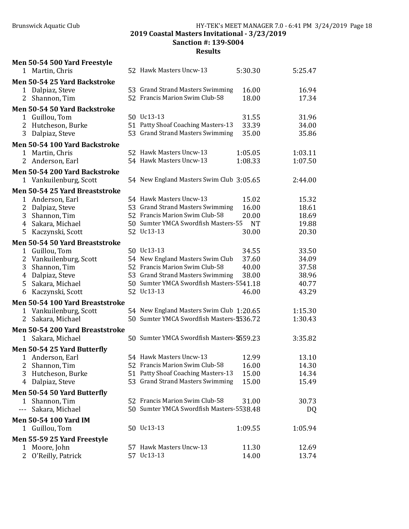Men 50-54 500 Yard Freestyle

# Brunswick Aquatic Club HY-TEK's MEET MANAGER 7.0 - 6:41 PM 3/24/2019 Page 18

2019 Coastal Masters Invitational - 3/23/2019

Sanction #: 139-S004

|                | 1 Martin, Chris                                         | 52 Hawk Masters Uncw-13                   | 5:30.30   | 5:25.47 |
|----------------|---------------------------------------------------------|-------------------------------------------|-----------|---------|
|                | Men 50-54 25 Yard Backstroke                            |                                           |           |         |
|                | 1 Dalpiaz, Steve                                        | 53 Grand Strand Masters Swimming          | 16.00     | 16.94   |
|                | 2 Shannon, Tim                                          | 52 Francis Marion Swim Club-58            | 18.00     | 17.34   |
|                | Men 50-54 50 Yard Backstroke                            |                                           |           |         |
|                | 1 Guillou, Tom                                          | 50 Uc13-13                                | 31.55     | 31.96   |
|                | 2 Hutcheson, Burke                                      | 51 Patty Shoaf Coaching Masters-13        | 33.39     | 34.00   |
|                | 3 Dalpiaz, Steve                                        | 53 Grand Strand Masters Swimming          | 35.00     | 35.86   |
|                | Men 50-54 100 Yard Backstroke                           |                                           |           |         |
|                | 1 Martin, Chris                                         | 52 Hawk Masters Uncw-13                   | 1:05.05   | 1:03.11 |
|                | 2 Anderson, Earl                                        | 54 Hawk Masters Uncw-13                   | 1:08.33   | 1:07.50 |
|                | Men 50-54 200 Yard Backstroke                           |                                           |           |         |
|                | 1 Vankuilenburg, Scott                                  | 54 New England Masters Swim Club 3:05.65  |           | 2:44.00 |
|                | Men 50-54 25 Yard Breaststroke                          |                                           |           |         |
| $\mathbf{1}$   | Anderson, Earl                                          | 54 Hawk Masters Uncw-13                   | 15.02     | 15.32   |
| $\overline{2}$ | Dalpiaz, Steve                                          | 53 Grand Strand Masters Swimming          | 16.00     | 18.61   |
|                | 3 Shannon, Tim                                          | 52 Francis Marion Swim Club-58            | 20.00     | 18.69   |
|                | 4 Sakara, Michael                                       | 50 Sumter YMCA Swordfish Masters-55       | <b>NT</b> | 19.88   |
| 5              | Kaczynski, Scott                                        | 52 Uc13-13                                | 30.00     | 20.30   |
|                | Men 50-54 50 Yard Breaststroke                          |                                           |           |         |
| $\mathbf{1}$   | Guillou, Tom                                            | 50 Uc13-13                                | 34.55     | 33.50   |
| 2              | Vankuilenburg, Scott                                    | 54 New England Masters Swim Club          | 37.60     | 34.09   |
| 3              | Shannon, Tim                                            | 52 Francis Marion Swim Club-58            | 40.00     | 37.58   |
| 4              | Dalpiaz, Steve                                          | 53 Grand Strand Masters Swimming          | 38.00     | 38.96   |
| 5              | Sakara, Michael                                         | 50 Sumter YMCA Swordfish Masters-5541.18  |           | 40.77   |
| 6              | Kaczynski, Scott                                        | 52 Uc13-13                                | 46.00     | 43.29   |
|                |                                                         |                                           |           |         |
| $\mathbf{1}$   | Men 50-54 100 Yard Breaststroke<br>Vankuilenburg, Scott | 54 New England Masters Swim Club 1:20.65  |           | 1:15.30 |
| 2              | Sakara, Michael                                         | 50 Sumter YMCA Swordfish Masters-5536.72  |           | 1:30.43 |
|                |                                                         |                                           |           |         |
|                | Men 50-54 200 Yard Breaststroke                         | 50 Sumter YMCA Swordfish Masters-\$559.23 |           | 3:35.82 |
|                | 1 Sakara, Michael                                       |                                           |           |         |
|                | Men 50-54 25 Yard Butterfly                             |                                           |           |         |
|                | 1 Anderson, Earl                                        | 54 Hawk Masters Uncw-13                   | 12.99     | 13.10   |
|                | 2 Shannon, Tim                                          | 52 Francis Marion Swim Club-58            | 16.00     | 14.30   |
| 3              | Hutcheson, Burke                                        | 51 Patty Shoaf Coaching Masters-13        | 15.00     | 14.34   |
|                | 4 Dalpiaz, Steve                                        | 53 Grand Strand Masters Swimming          | 15.00     | 15.49   |
|                | Men 50-54 50 Yard Butterfly                             |                                           |           |         |
|                | 1 Shannon, Tim                                          | 52 Francis Marion Swim Club-58            | 31.00     | 30.73   |
| $--$           | Sakara, Michael                                         | 50 Sumter YMCA Swordfish Masters-5538.48  |           | DQ      |
|                | <b>Men 50-54 100 Yard IM</b>                            |                                           |           |         |
|                | 1 Guillou, Tom                                          | 50 Uc13-13                                | 1:09.55   | 1:05.94 |
|                | Men 55-59 25 Yard Freestyle                             |                                           |           |         |
| 1              | Moore, John                                             | 57 Hawk Masters Uncw-13                   | 11.30     | 12.69   |
| 2              | O'Reilly, Patrick                                       | 57 Uc13-13                                | 14.00     | 13.74   |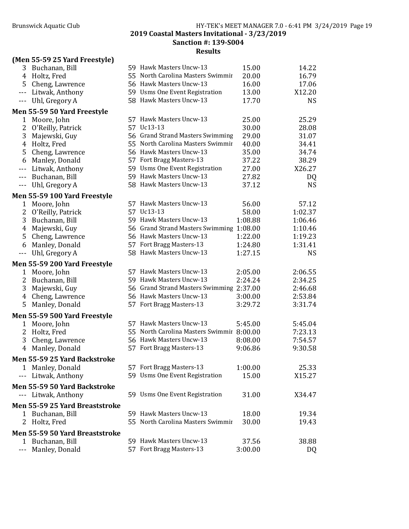## Sanction #: 139-S004

| (Men 55-59 25 Yard Freestyle)<br>3 Buchanan, Bill              | 59 Hawk Masters Uncw-13                   | 15.00          | 14.22          |
|----------------------------------------------------------------|-------------------------------------------|----------------|----------------|
| Holtz, Fred<br>4                                               | 55 North Carolina Masters Swimmir         | 20.00          | 16.79          |
| 5<br>Cheng, Lawrence                                           | 56 Hawk Masters Uncw-13                   | 16.00          | 17.06          |
| Litwak, Anthony<br>$\sim$ $\sim$ $\sim$                        | 59 Usms One Event Registration            | 13.00          | X12.20         |
| Uhl, Gregory A<br>$\sim$ $\sim$ $\sim$                         | 58 Hawk Masters Uncw-13                   | 17.70          | <b>NS</b>      |
|                                                                |                                           |                |                |
| Men 55-59 50 Yard Freestyle                                    | 57 Hawk Masters Uncw-13                   |                |                |
| Moore, John<br>1<br>2                                          | 57 Uc13-13                                | 25.00          | 25.29          |
| O'Reilly, Patrick                                              | 56 Grand Strand Masters Swimming          | 30.00          | 28.08          |
| 3<br>Majewski, Guy                                             | 55 North Carolina Masters Swimmir         | 29.00<br>40.00 | 31.07<br>34.41 |
| Holtz, Fred<br>4                                               | 56 Hawk Masters Uncw-13                   | 35.00          | 34.74          |
| 5<br>Cheng, Lawrence                                           | 57 Fort Bragg Masters-13                  | 37.22          | 38.29          |
| Manley, Donald<br>6                                            | 59 Usms One Event Registration            | 27.00          |                |
| Litwak, Anthony<br>$- - -$                                     | 59 Hawk Masters Uncw-13                   |                | X26.27         |
| Buchanan, Bill<br>$\sim$ $\sim$ $\sim$<br>$\sim$ $\sim$ $\sim$ | 58 Hawk Masters Uncw-13                   | 27.82<br>37.12 | DQ             |
| Uhl, Gregory A                                                 |                                           |                | <b>NS</b>      |
| Men 55-59 100 Yard Freestyle                                   |                                           |                |                |
| Moore, John<br>1                                               | 57 Hawk Masters Uncw-13                   | 56.00          | 57.12          |
| 2<br>O'Reilly, Patrick                                         | 57 Uc13-13                                | 58.00          | 1:02.37        |
| 3<br>Buchanan, Bill                                            | 59 Hawk Masters Uncw-13                   | 1:08.88        | 1:06.46        |
| Majewski, Guy<br>4                                             | 56 Grand Strand Masters Swimming 1:08.00  |                | 1:10.46        |
| 5<br>Cheng, Lawrence                                           | 56 Hawk Masters Uncw-13                   | 1:22.00        | 1:19.23        |
| Manley, Donald<br>6                                            | 57 Fort Bragg Masters-13                  | 1:24.80        | 1:31.41        |
| Uhl, Gregory A<br>$- - -$                                      | 58 Hawk Masters Uncw-13                   | 1:27.15        | <b>NS</b>      |
| Men 55-59 200 Yard Freestyle                                   |                                           |                |                |
| Moore, John<br>1                                               | 57 Hawk Masters Uncw-13                   | 2:05.00        | 2:06.55        |
| 2<br>Buchanan, Bill                                            | 59 Hawk Masters Uncw-13                   | 2:24.24        | 2:34.25        |
| 3<br>Majewski, Guy                                             | 56 Grand Strand Masters Swimming 2:37.00  |                | 2:46.68        |
| Cheng, Lawrence<br>4                                           | 56 Hawk Masters Uncw-13                   | 3:00.00        | 2:53.84        |
| 5<br>Manley, Donald                                            | 57 Fort Bragg Masters-13                  | 3:29.72        | 3:31.74        |
| Men 55-59 500 Yard Freestyle                                   |                                           |                |                |
| $\mathbf{1}$<br>Moore, John                                    | 57 Hawk Masters Uncw-13                   | 5:45.00        | 5:45.04        |
| 2<br>Holtz, Fred                                               | 55 North Carolina Masters Swimmir 8:00.00 |                | 7:23.13        |
| 3<br>Cheng, Lawrence                                           | 56 Hawk Masters Uncw-13                   | 8:08.00        | 7:54.57        |
| Manley, Donald<br>4                                            | 57 Fort Bragg Masters-13                  | 9:06.86        | 9:30.58        |
|                                                                |                                           |                |                |
| Men 55-59 25 Yard Backstroke                                   |                                           |                |                |
| 1 Manley, Donald                                               | 57 Fort Bragg Masters-13                  | 1:00.00        | 25.33          |
| Litwak, Anthony<br>$--$                                        | 59 Usms One Event Registration            | 15.00          | X15.27         |
| Men 55-59 50 Yard Backstroke                                   |                                           |                |                |
| Litwak, Anthony<br>$\qquad \qquad -$                           | 59 Usms One Event Registration            | 31.00          | X34.47         |
| Men 55-59 25 Yard Breaststroke                                 |                                           |                |                |
| Buchanan, Bill<br>1                                            | 59 Hawk Masters Uncw-13                   | 18.00          | 19.34          |
| 2<br>Holtz, Fred                                               | 55 North Carolina Masters Swimmir         | 30.00          | 19.43          |
| Men 55-59 50 Yard Breaststroke                                 |                                           |                |                |
| Buchanan, Bill<br>1                                            | 59 Hawk Masters Uncw-13                   | 37.56          | 38.88          |
| Manley, Donald                                                 | 57 Fort Bragg Masters-13                  | 3:00.00        | DQ             |
|                                                                |                                           |                |                |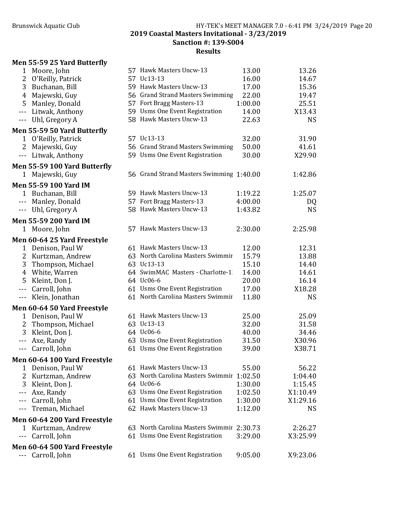#### Brunswick Aquatic Club HY-TEK's MEET MANAGER 7.0 - 6:41 PM 3/24/2019 Page 20 2019 Coastal Masters Invitational - 3/23/2019 Sanction #: 139-S004 Results

#### Men 55-59 25 Yard Butterfly

| 1                                                                                                                                                                                                                                                                                                                                                                                            | Moore, John                        | 57 Hawk Masters Uncw-13                   | 13.00   | 13.26     |
|----------------------------------------------------------------------------------------------------------------------------------------------------------------------------------------------------------------------------------------------------------------------------------------------------------------------------------------------------------------------------------------------|------------------------------------|-------------------------------------------|---------|-----------|
| 2                                                                                                                                                                                                                                                                                                                                                                                            | O'Reilly, Patrick                  | 57 Uc13-13                                | 16.00   | 14.67     |
| 3                                                                                                                                                                                                                                                                                                                                                                                            | Buchanan, Bill                     | 59 Hawk Masters Uncw-13                   | 17.00   | 15.36     |
| 4                                                                                                                                                                                                                                                                                                                                                                                            | Majewski, Guy                      | 56 Grand Strand Masters Swimming          | 22.00   | 19.47     |
| 5                                                                                                                                                                                                                                                                                                                                                                                            | Manley, Donald                     | 57 Fort Bragg Masters-13                  | 1:00.00 | 25.51     |
| $- - -$                                                                                                                                                                                                                                                                                                                                                                                      | Litwak, Anthony                    | 59 Usms One Event Registration            | 14.00   | X13.43    |
| $- - -$                                                                                                                                                                                                                                                                                                                                                                                      | Uhl, Gregory A                     | 58 Hawk Masters Uncw-13                   | 22.63   | <b>NS</b> |
|                                                                                                                                                                                                                                                                                                                                                                                              | Men 55-59 50 Yard Butterfly        |                                           |         |           |
| 1                                                                                                                                                                                                                                                                                                                                                                                            | O'Reilly, Patrick                  | 57 Uc13-13                                | 32.00   | 31.90     |
| 2                                                                                                                                                                                                                                                                                                                                                                                            | Majewski, Guy                      | 56 Grand Strand Masters Swimming          | 50.00   | 41.61     |
| $\sim$ $\sim$ $\sim$                                                                                                                                                                                                                                                                                                                                                                         | Litwak, Anthony                    | 59 Usms One Event Registration            | 30.00   | X29.90    |
|                                                                                                                                                                                                                                                                                                                                                                                              | Men 55-59 100 Yard Butterfly       |                                           |         |           |
|                                                                                                                                                                                                                                                                                                                                                                                              | 1 Majewski, Guy                    | 56 Grand Strand Masters Swimming 1:40.00  |         | 1:42.86   |
|                                                                                                                                                                                                                                                                                                                                                                                              | <b>Men 55-59 100 Yard IM</b>       |                                           |         |           |
|                                                                                                                                                                                                                                                                                                                                                                                              | 1 Buchanan, Bill                   | 59 Hawk Masters Uncw-13                   | 1:19.22 | 1:25.07   |
| $\sim$ $\sim$ $\sim$                                                                                                                                                                                                                                                                                                                                                                         | Manley, Donald                     | 57 Fort Bragg Masters-13                  | 4:00.00 | DQ        |
|                                                                                                                                                                                                                                                                                                                                                                                              | --- Uhl, Gregory A                 | 58 Hawk Masters Uncw-13                   | 1:43.82 | <b>NS</b> |
|                                                                                                                                                                                                                                                                                                                                                                                              | <b>Men 55-59 200 Yard IM</b>       |                                           |         |           |
| $\mathbf{1}$                                                                                                                                                                                                                                                                                                                                                                                 | Moore, John                        | 57 Hawk Masters Uncw-13                   | 2:30.00 | 2:25.98   |
|                                                                                                                                                                                                                                                                                                                                                                                              | <b>Men 60-64 25 Yard Freestyle</b> |                                           |         |           |
| 1                                                                                                                                                                                                                                                                                                                                                                                            | Denison, Paul W                    | 61 Hawk Masters Uncw-13                   | 12.00   | 12.31     |
| 2                                                                                                                                                                                                                                                                                                                                                                                            | Kurtzman, Andrew                   | 63 North Carolina Masters Swimmir         | 15.79   | 13.88     |
| 3                                                                                                                                                                                                                                                                                                                                                                                            | Thompson, Michael                  | 63 Uc13-13                                | 15.10   | 14.40     |
| 4                                                                                                                                                                                                                                                                                                                                                                                            | White, Warren                      | 64 SwimMAC Masters - Charlotte-1          | 14.00   | 14.61     |
| 5                                                                                                                                                                                                                                                                                                                                                                                            | Kleint, Don J.                     | 64 Uc06-6                                 | 20.00   | 16.14     |
| $\overline{a}$                                                                                                                                                                                                                                                                                                                                                                               | Carroll, John                      | 61 Usms One Event Registration            | 17.00   | X18.28    |
| $- - -$                                                                                                                                                                                                                                                                                                                                                                                      | Klein, Jonathan                    | 61 North Carolina Masters Swimmir         | 11.80   | <b>NS</b> |
|                                                                                                                                                                                                                                                                                                                                                                                              | <b>Men 60-64 50 Yard Freestyle</b> |                                           |         |           |
|                                                                                                                                                                                                                                                                                                                                                                                              | 1 Denison, Paul W                  | 61 Hawk Masters Uncw-13                   | 25.00   | 25.09     |
| 2                                                                                                                                                                                                                                                                                                                                                                                            | Thompson, Michael                  | 63 Uc13-13                                | 32.00   | 31.58     |
| 3                                                                                                                                                                                                                                                                                                                                                                                            | Kleint, Don J.                     | 64 Uc06-6                                 | 40.00   | 34.46     |
| $- - -$                                                                                                                                                                                                                                                                                                                                                                                      | Axe, Randy                         | 63 Usms One Event Registration            | 31.50   | X30.96    |
| $\frac{1}{2} \frac{1}{2} \frac{1}{2} \frac{1}{2} \frac{1}{2} \frac{1}{2} \frac{1}{2} \frac{1}{2} \frac{1}{2} \frac{1}{2} \frac{1}{2} \frac{1}{2} \frac{1}{2} \frac{1}{2} \frac{1}{2} \frac{1}{2} \frac{1}{2} \frac{1}{2} \frac{1}{2} \frac{1}{2} \frac{1}{2} \frac{1}{2} \frac{1}{2} \frac{1}{2} \frac{1}{2} \frac{1}{2} \frac{1}{2} \frac{1}{2} \frac{1}{2} \frac{1}{2} \frac{1}{2} \frac{$ | Carroll, John                      | 61 Usms One Event Registration            | 39.00   | X38.71    |
|                                                                                                                                                                                                                                                                                                                                                                                              | Men 60-64 100 Yard Freestyle       |                                           |         |           |
| 1                                                                                                                                                                                                                                                                                                                                                                                            | Denison, Paul W                    | 61 Hawk Masters Uncw-13                   | 55.00   | 56.22     |
| 2                                                                                                                                                                                                                                                                                                                                                                                            | Kurtzman, Andrew                   | 63 North Carolina Masters Swimmir 1:02.50 |         | 1:04.40   |
| 3                                                                                                                                                                                                                                                                                                                                                                                            | Kleint, Don J.                     | 64 Uc06-6                                 | 1:30.00 | 1:15.45   |
| ---                                                                                                                                                                                                                                                                                                                                                                                          | Axe, Randy                         | 63 Usms One Event Registration            | 1:02.50 | X1:10.49  |
| ---                                                                                                                                                                                                                                                                                                                                                                                          | Carroll, John                      | 61 Usms One Event Registration            | 1:30.00 | X1:29.16  |
| ---                                                                                                                                                                                                                                                                                                                                                                                          | Treman, Michael                    | 62 Hawk Masters Uncw-13                   | 1:12.00 | NS.       |
|                                                                                                                                                                                                                                                                                                                                                                                              | Men 60-64 200 Yard Freestyle       |                                           |         |           |
| 1                                                                                                                                                                                                                                                                                                                                                                                            | Kurtzman, Andrew                   | 63 North Carolina Masters Swimmir 2:30.73 |         | 2:26.27   |
| ---                                                                                                                                                                                                                                                                                                                                                                                          | Carroll, John                      | 61 Usms One Event Registration            | 3:29.00 | X3:25.99  |
|                                                                                                                                                                                                                                                                                                                                                                                              | Men 60-64 500 Yard Freestyle       |                                           |         |           |
| ---                                                                                                                                                                                                                                                                                                                                                                                          | Carroll, John                      | 61 Usms One Event Registration            | 9:05.00 | X9:23.06  |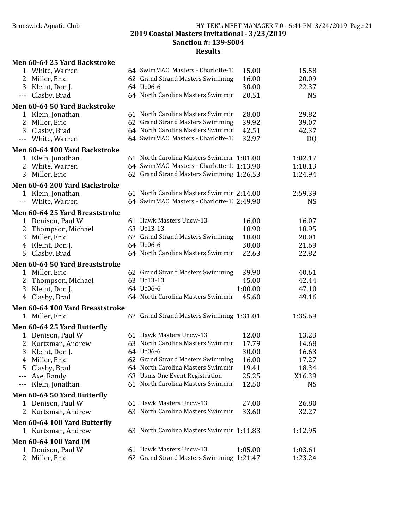|                        | Men 60-64 25 Yard Backstroke    |                                           |         |           |
|------------------------|---------------------------------|-------------------------------------------|---------|-----------|
|                        | 1 White, Warren                 | 64 SwimMAC Masters - Charlotte-1          | 15.00   | 15.58     |
| 2                      | Miller, Eric                    | 62 Grand Strand Masters Swimming          | 16.00   | 20.09     |
| 3                      | Kleint, Don J.                  | 64 Uc06-6                                 | 30.00   | 22.37     |
| $---$                  | Clasby, Brad                    | 64 North Carolina Masters Swimmir         | 20.51   | <b>NS</b> |
|                        | Men 60-64 50 Yard Backstroke    |                                           |         |           |
|                        | 1 Klein, Jonathan               | 61 North Carolina Masters Swimmir         | 28.00   | 29.82     |
| $\overline{2}$         | Miller, Eric                    | 62 Grand Strand Masters Swimming          | 39.92   | 39.07     |
| 3                      | Clasby, Brad                    | 64 North Carolina Masters Swimmir         | 42.51   | 42.37     |
| $\scriptstyle\cdots$ . | White, Warren                   | 64 SwimMAC Masters - Charlotte-1          | 32.97   | DQ        |
|                        | Men 60-64 100 Yard Backstroke   |                                           |         |           |
|                        | 1 Klein, Jonathan               | 61 North Carolina Masters Swimmir 1:01.00 |         | 1:02.17   |
| 2                      | White, Warren                   | 64 SwimMAC Masters - Charlotte-1 1:13.90  |         | 1:18.13   |
| 3                      | Miller, Eric                    | 62 Grand Strand Masters Swimming 1:26.53  |         | 1:24.94   |
|                        | Men 60-64 200 Yard Backstroke   |                                           |         |           |
|                        | 1 Klein, Jonathan               | 61 North Carolina Masters Swimmir 2:14.00 |         | 2:59.39   |
|                        | --- White, Warren               | 64 SwimMAC Masters - Charlotte-1 2:49.90  |         | <b>NS</b> |
|                        | Men 60-64 25 Yard Breaststroke  |                                           |         |           |
| $\mathbf{1}$           | Denison, Paul W                 | 61 Hawk Masters Uncw-13                   | 16.00   | 16.07     |
| 2                      | Thompson, Michael               | 63 Uc13-13                                | 18.90   | 18.95     |
| 3                      | Miller, Eric                    | 62 Grand Strand Masters Swimming          | 18.00   | 20.01     |
| 4                      | Kleint, Don J.                  | 64 Uc06-6                                 | 30.00   | 21.69     |
| 5                      | Clasby, Brad                    | 64 North Carolina Masters Swimmir         | 22.63   | 22.82     |
|                        | Men 60-64 50 Yard Breaststroke  |                                           |         |           |
|                        | 1 Miller, Eric                  | 62 Grand Strand Masters Swimming          | 39.90   | 40.61     |
| 2                      | Thompson, Michael               | 63 Uc13-13                                | 45.00   | 42.44     |
| 3                      | Kleint, Don J.                  | 64 Uc06-6                                 | 1:00.00 | 47.10     |
| 4                      | Clasby, Brad                    | 64 North Carolina Masters Swimmir         | 45.60   | 49.16     |
|                        | Men 60-64 100 Yard Breaststroke |                                           |         |           |
|                        | 1 Miller, Eric                  | 62 Grand Strand Masters Swimming 1:31.01  |         | 1:35.69   |
|                        | Men 60-64 25 Yard Butterfly     |                                           |         |           |
| $\mathbf{1}$           | Denison, Paul W                 | 61 Hawk Masters Uncw-13                   | 12.00   | 13.23     |
| 2                      | Kurtzman, Andrew                | 63 North Carolina Masters Swimmir         | 17.79   | 14.68     |
| 3                      | Kleint, Don J.                  | 64 Uc06-6                                 | 30.00   | 16.63     |
| 4                      | Miller, Eric                    | 62 Grand Strand Masters Swimming          | 16.00   | 17.27     |
| 5                      | Clasby, Brad                    | 64 North Carolina Masters Swimmir         | 19.41   | 18.34     |
| ---                    | Axe, Randy                      | 63 Usms One Event Registration            | 25.25   | X16.39    |
| ---                    | Klein, Jonathan                 | 61 North Carolina Masters Swimmir         | 12.50   | <b>NS</b> |
|                        | Men 60-64 50 Yard Butterfly     |                                           |         |           |
|                        | 1 Denison, Paul W               | 61 Hawk Masters Uncw-13                   | 27.00   | 26.80     |
| 2                      | Kurtzman, Andrew                | 63 North Carolina Masters Swimmir         | 33.60   | 32.27     |
|                        | Men 60-64 100 Yard Butterfly    |                                           |         |           |
|                        | 1 Kurtzman, Andrew              | 63 North Carolina Masters Swimmir 1:11.83 |         | 1:12.95   |
|                        | <b>Men 60-64 100 Yard IM</b>    |                                           |         |           |
|                        | 1 Denison, Paul W               | 61 Hawk Masters Uncw-13                   | 1:05.00 | 1:03.61   |
| 2                      | Miller, Eric                    | 62 Grand Strand Masters Swimming 1:21.47  |         | 1:23.24   |
|                        |                                 |                                           |         |           |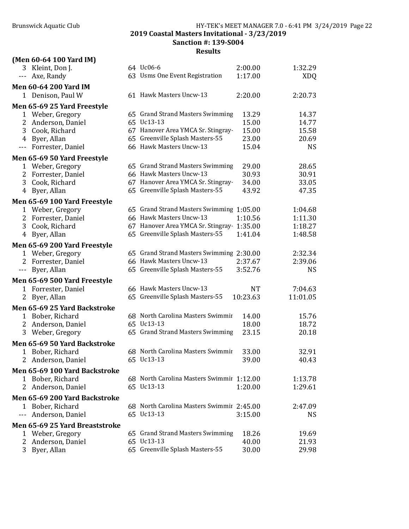|                | (Men 60-64 100 Yard IM)        |                                           |          |            |
|----------------|--------------------------------|-------------------------------------------|----------|------------|
|                | 3 Kleint, Don J.               | 64 Uc06-6                                 | 2:00.00  | 1:32.29    |
| $---$          | Axe, Randy                     | 63 Usms One Event Registration            | 1:17.00  | <b>XDQ</b> |
|                | <b>Men 60-64 200 Yard IM</b>   |                                           |          |            |
|                | 1 Denison, Paul W              | 61 Hawk Masters Uncw-13                   | 2:20.00  | 2:20.73    |
|                | Men 65-69 25 Yard Freestyle    |                                           |          |            |
|                | 1 Weber, Gregory               | 65 Grand Strand Masters Swimming          | 13.29    | 14.37      |
| 2              | Anderson, Daniel               | 65 Uc13-13                                | 15.00    | 14.77      |
| 3              | Cook, Richard                  | 67 Hanover Area YMCA Sr. Stingray-        | 15.00    | 15.58      |
|                | 4 Byer, Allan                  | 65 Greenville Splash Masters-55           | 23.00    | 20.69      |
|                | --- Forrester, Daniel          | 66 Hawk Masters Uncw-13                   | 15.04    | <b>NS</b>  |
|                | Men 65-69 50 Yard Freestyle    |                                           |          |            |
|                | 1 Weber, Gregory               | 65 Grand Strand Masters Swimming          | 29.00    | 28.65      |
|                | 2 Forrester, Daniel            | 66 Hawk Masters Uncw-13                   | 30.93    | 30.91      |
|                | 3 Cook, Richard                | 67 Hanover Area YMCA Sr. Stingray-        | 34.00    | 33.05      |
| 4              | Byer, Allan                    | 65 Greenville Splash Masters-55           | 43.92    | 47.35      |
|                | Men 65-69 100 Yard Freestyle   |                                           |          |            |
|                | 1 Weber, Gregory               | 65 Grand Strand Masters Swimming 1:05.00  |          | 1:04.68    |
|                | 2 Forrester, Daniel            | 66 Hawk Masters Uncw-13                   | 1:10.56  | 1:11.30    |
|                | 3 Cook, Richard                | 67 Hanover Area YMCA Sr. Stingray 1:35.00 |          | 1:18.27    |
|                | 4 Byer, Allan                  | 65 Greenville Splash Masters-55           | 1:41.04  | 1:48.58    |
|                | Men 65-69 200 Yard Freestyle   |                                           |          |            |
|                | 1 Weber, Gregory               | 65 Grand Strand Masters Swimming 2:30.00  |          | 2:32.34    |
|                | 2 Forrester, Daniel            | 66 Hawk Masters Uncw-13                   | 2:37.67  | 2:39.06    |
|                | --- Byer, Allan                | 65 Greenville Splash Masters-55           | 3:52.76  | <b>NS</b>  |
|                | Men 65-69 500 Yard Freestyle   |                                           |          |            |
|                | 1 Forrester, Daniel            | 66 Hawk Masters Uncw-13                   | NT       | 7:04.63    |
| 2 <sup>1</sup> | Byer, Allan                    | 65 Greenville Splash Masters-55           | 10:23.63 | 11:01.05   |
|                |                                |                                           |          |            |
|                | Men 65-69 25 Yard Backstroke   |                                           |          |            |
|                | 1 Bober, Richard               | 68 North Carolina Masters Swimmir         | 14.00    | 15.76      |
| 2              | Anderson, Daniel               | 65 Uc13-13                                | 18.00    | 18.72      |
| 3              | Weber, Gregory                 | 65 Grand Strand Masters Swimming          | 23.15    | 20.18      |
|                | Men 65-69 50 Yard Backstroke   |                                           |          |            |
| 1              | Bober, Richard                 | 68 North Carolina Masters Swimmir         | 33.00    | 32.91      |
|                | 2 Anderson, Daniel             | 65 Uc13-13                                | 39.00    | 40.43      |
|                | Men 65-69 100 Yard Backstroke  |                                           |          |            |
|                | 1 Bober, Richard               | 68 North Carolina Masters Swimmir 1:12.00 |          | 1:13.78    |
|                | 2 Anderson, Daniel             | 65 Uc13-13                                | 1:20.00  | 1:29.61    |
|                | Men 65-69 200 Yard Backstroke  |                                           |          |            |
|                | 1 Bober, Richard               | 68 North Carolina Masters Swimmir 2:45.00 |          | 2:47.09    |
| $---$          | Anderson, Daniel               | 65 Uc13-13                                | 3:15.00  | <b>NS</b>  |
|                | Men 65-69 25 Yard Breaststroke |                                           |          |            |
|                | 1 Weber, Gregory               | 65 Grand Strand Masters Swimming          | 18.26    | 19.69      |
| 2              | Anderson, Daniel               | 65 Uc13-13                                | 40.00    | 21.93      |
| 3              | Byer, Allan                    | 65 Greenville Splash Masters-55           | 30.00    | 29.98      |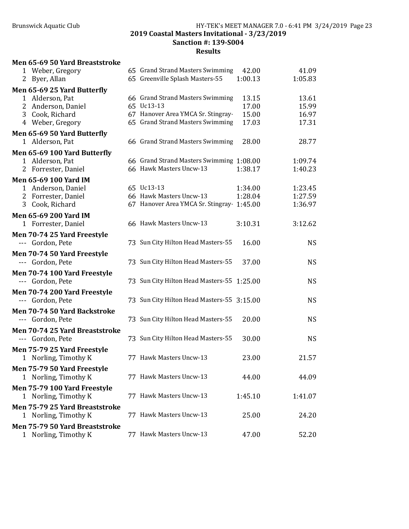# Results

#### Men 65-69 50 Yard Breaststroke

| 1 Weber, Gregory                                   | 65 Grand Strand Masters Swimming           | 42.00   | 41.09     |
|----------------------------------------------------|--------------------------------------------|---------|-----------|
| 2 Byer, Allan                                      | 65 Greenville Splash Masters-55            | 1:00.13 | 1:05.83   |
| Men 65-69 25 Yard Butterfly                        |                                            |         |           |
| 1 Alderson, Pat                                    | 66 Grand Strand Masters Swimming           | 13.15   | 13.61     |
| 2 Anderson, Daniel                                 | 65 Uc13-13                                 | 17.00   | 15.99     |
| 3 Cook, Richard                                    | 67 Hanover Area YMCA Sr. Stingray          | 15.00   | 16.97     |
| 4 Weber, Gregory                                   | 65 Grand Strand Masters Swimming           | 17.03   | 17.31     |
| Men 65-69 50 Yard Butterfly                        |                                            |         |           |
| 1 Alderson, Pat                                    | 66 Grand Strand Masters Swimming           | 28.00   | 28.77     |
| Men 65-69 100 Yard Butterfly                       |                                            |         |           |
| 1 Alderson, Pat                                    | 66 Grand Strand Masters Swimming 1:08.00   |         | 1:09.74   |
| 2 Forrester, Daniel                                | 66 Hawk Masters Uncw-13                    | 1:38.17 | 1:40.23   |
| Men 65-69 100 Yard IM                              |                                            |         |           |
| 1 Anderson, Daniel                                 | 65 Uc13-13                                 | 1:34.00 | 1:23.45   |
| 2 Forrester, Daniel                                | 66 Hawk Masters Uncw-13                    | 1:28.04 | 1:27.59   |
| 3<br>Cook, Richard                                 | 67 Hanover Area YMCA Sr. Stingray 1:45.00  |         | 1:36.97   |
| <b>Men 65-69 200 Yard IM</b>                       |                                            |         |           |
| 1 Forrester, Daniel                                | 66 Hawk Masters Uncw-13                    | 3:10.31 | 3:12.62   |
| Men 70-74 25 Yard Freestyle                        |                                            |         |           |
| --- Gordon, Pete                                   | 73 Sun City Hilton Head Masters-55         | 16.00   | <b>NS</b> |
| Men 70-74 50 Yard Freestyle                        |                                            |         |           |
| --- Gordon, Pete                                   | 73 Sun City Hilton Head Masters-55         | 37.00   | <b>NS</b> |
| Men 70-74 100 Yard Freestyle                       |                                            |         |           |
| --- Gordon, Pete                                   | 73 Sun City Hilton Head Masters-55 1:25.00 |         | <b>NS</b> |
| Men 70-74 200 Yard Freestyle                       |                                            |         |           |
| --- Gordon, Pete                                   | 73 Sun City Hilton Head Masters-55 3:15.00 |         | <b>NS</b> |
| Men 70-74 50 Yard Backstroke                       |                                            |         |           |
| --- Gordon, Pete                                   | 73 Sun City Hilton Head Masters-55         | 20.00   | <b>NS</b> |
|                                                    |                                            |         |           |
| Men 70-74 25 Yard Breaststroke<br>--- Gordon, Pete | 73 Sun City Hilton Head Masters-55         | 30.00   | <b>NS</b> |
|                                                    |                                            |         |           |
| Men 75-79 25 Yard Freestyle                        | 77 Hawk Masters Uncw-13                    |         |           |
| 1 Norling, Timothy K                               |                                            | 23.00   | 21.57     |
| Men 75-79 50 Yard Freestyle                        |                                            |         |           |
| 1 Norling, Timothy K                               | 77 Hawk Masters Uncw-13                    | 44.00   | 44.09     |
| Men 75-79 100 Yard Freestyle                       |                                            |         |           |
| 1 Norling, Timothy K                               | 77 Hawk Masters Uncw-13                    | 1:45.10 | 1:41.07   |
| Men 75-79 25 Yard Breaststroke                     |                                            |         |           |
| 1 Norling, Timothy K                               | 77 Hawk Masters Uncw-13                    | 25.00   | 24.20     |
| Men 75-79 50 Yard Breaststroke                     |                                            |         |           |
| 1 Norling, Timothy K                               | 77 Hawk Masters Uncw-13                    | 47.00   | 52.20     |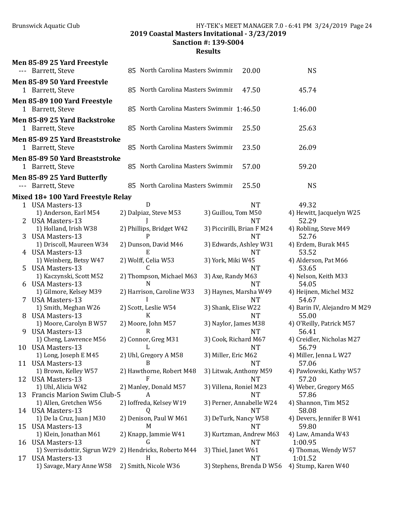Brunswick Aquatic Club HY-TEK's MEET MANAGER 7.0 - 6:41 PM 3/24/2019 Page 24

2019 Coastal Masters Invitational - 3/23/2019

Sanction #: 139-S004

|    | Men 85-89 25 Yard Freestyle<br>--- Barrett, Steve | 85 North Carolina Masters Swimmir         | 20.00                         | <b>NS</b>                             |  |  |  |  |  |
|----|---------------------------------------------------|-------------------------------------------|-------------------------------|---------------------------------------|--|--|--|--|--|
|    | Men 85-89 50 Yard Freestyle<br>1 Barrett, Steve   | 85 North Carolina Masters Swimmir         | 47.50                         | 45.74                                 |  |  |  |  |  |
|    | Men 85-89 100 Yard Freestyle<br>1 Barrett, Steve  | 85 North Carolina Masters Swimmir 1:46.50 |                               | 1:46.00                               |  |  |  |  |  |
|    | Men 85-89 25 Yard Backstroke                      |                                           |                               |                                       |  |  |  |  |  |
|    | 1 Barrett, Steve                                  | 85 North Carolina Masters Swimmir         | 25.50                         | 25.63                                 |  |  |  |  |  |
|    | Men 85-89 25 Yard Breaststroke                    |                                           |                               |                                       |  |  |  |  |  |
|    | 1 Barrett, Steve                                  | 85 North Carolina Masters Swimmir         | 23.50                         | 26.09                                 |  |  |  |  |  |
|    | Men 85-89 50 Yard Breaststroke                    |                                           |                               |                                       |  |  |  |  |  |
|    | 1 Barrett, Steve                                  | 85 North Carolina Masters Swimmir         | 57.00                         | 59.20                                 |  |  |  |  |  |
|    | Men 85-89 25 Yard Butterfly                       |                                           |                               |                                       |  |  |  |  |  |
|    | Barrett, Steve                                    | 85 North Carolina Masters Swimmir         | 25.50                         | <b>NS</b>                             |  |  |  |  |  |
|    | Mixed 18+100 Yard Freestyle Relay                 |                                           |                               |                                       |  |  |  |  |  |
|    | 1 USA Masters-13                                  | D                                         | <b>NT</b>                     | 49.32                                 |  |  |  |  |  |
|    | 1) Anderson, Earl M54                             | 2) Dalpiaz, Steve M53                     | 3) Guillou, Tom M50           | 4) Hewitt, Jacquelyn W25              |  |  |  |  |  |
|    | <b>USA Masters-13</b>                             |                                           | <b>NT</b>                     | 52.29                                 |  |  |  |  |  |
|    | 1) Holland, Irish W38                             | 2) Phillips, Bridget W42                  | 3) Piccirilli, Brian F M24    | 4) Robling, Steve M49                 |  |  |  |  |  |
|    | <b>USA Masters-13</b>                             | P                                         | <b>NT</b>                     | 52.76                                 |  |  |  |  |  |
|    | 1) Driscoll, Maureen W34<br>4 USA Masters-13      | 2) Dunson, David M46<br>E                 | 3) Edwards, Ashley W31<br>NT  | 4) Erdem, Burak M45<br>53.52          |  |  |  |  |  |
|    | 1) Weinberg, Betsy W47                            | 2) Wolff, Celia W53                       | 3) York, Miki W45             | 4) Alderson, Pat M66                  |  |  |  |  |  |
| 5  | <b>USA Masters-13</b>                             | C                                         | <b>NT</b>                     | 53.65                                 |  |  |  |  |  |
|    | 1) Kaczynski, Scott M52                           | 2) Thompson, Michael M63                  | 3) Axe, Randy M63             | 4) Nelson, Keith M33                  |  |  |  |  |  |
|    | 6 USA Masters-13                                  | N                                         | <b>NT</b>                     | 54.05                                 |  |  |  |  |  |
|    | 1) Gilmore, Kelsey M39                            | 2) Harrison, Caroline W33                 | 3) Haynes, Marsha W49         | 4) Heijnen, Michel M32                |  |  |  |  |  |
|    | 7 USA Masters-13                                  |                                           | <b>NT</b>                     | 54.67                                 |  |  |  |  |  |
| 8. | 1) Smith, Meghan W26<br><b>USA Masters-13</b>     | 2) Scott, Leslie W54<br>K                 | 3) Shank, Elise W22<br>NT.    | 4) Barin IV, Alejandro M M29<br>55.00 |  |  |  |  |  |
|    | 1) Moore, Carolyn B W57                           | 2) Moore, John M57                        | 3) Naylor, James M38          | 4) O'Reilly, Patrick M57              |  |  |  |  |  |
| 9  | <b>USA Masters-13</b>                             | $\mathsf{R}$                              | <b>NT</b>                     | 56.41                                 |  |  |  |  |  |
|    | 1) Cheng, Lawrence M56                            | 2) Connor, Greg M31                       | 3) Cook, Richard M67          | 4) Creidler, Nicholas M27             |  |  |  |  |  |
| 10 | <b>USA Masters-13</b>                             | L                                         | NT                            | 56.79                                 |  |  |  |  |  |
|    | 1) Long, Joseph E M45                             | 2) Uhl, Gregory A M58                     | 3) Miller, Eric M62           | 4) Miller, Jenna L W27                |  |  |  |  |  |
|    | 11 USA Masters-13                                 | B                                         | <b>NT</b>                     | 57.06                                 |  |  |  |  |  |
|    | 1) Brown, Kelley W57<br>12 USA Masters-13         | 2) Hawthorne, Robert M48<br>F             | 3) Litwak, Anthony M59<br>NT  | 4) Pawlowski, Kathy W57<br>57.20      |  |  |  |  |  |
|    | 1) Uhl, Alicia W42                                | 2) Manley, Donald M57                     | 3) Villena, Roniel M23        | 4) Weber, Gregory M65                 |  |  |  |  |  |
| 13 | <b>Francis Marion Swim Club-5</b>                 | A                                         | <b>NT</b>                     | 57.86                                 |  |  |  |  |  |
|    | 1) Allen, Gretchen W56                            | 2) Ioffreda, Kelsey W19                   | 3) Perner, Annabelle W24      | 4) Shannon, Tim M52                   |  |  |  |  |  |
|    | 14 USA Masters-13                                 | Q                                         | <b>NT</b>                     | 58.08                                 |  |  |  |  |  |
|    | 1) De la Cruz, Juan J M30                         | 2) Denison, Paul W M61                    | 3) DeTurk, Nancy W58          | 4) Devers, Jennifer B W41             |  |  |  |  |  |
| 15 | <b>USA Masters-13</b>                             | M                                         | NT                            | 59.80                                 |  |  |  |  |  |
| 16 | 1) Klein, Jonathan M61<br>USA Masters-13          | 2) Knapp, Jammie W41<br>G                 | 3) Kurtzman, Andrew M63<br>NT | 4) Law, Amanda W43<br>1:00.95         |  |  |  |  |  |
|    | 1) Sverrisdottir, Sigrun W29                      | 2) Hendricks, Roberto M44                 | 3) Thiel, Janet W61           | 4) Thomas, Wendy W57                  |  |  |  |  |  |
| 17 | <b>USA Masters-13</b>                             | H                                         | NT                            | 1:01.52                               |  |  |  |  |  |
|    | 1) Savage, Mary Anne W58                          | 2) Smith, Nicole W36                      | 3) Stephens, Brenda D W56     | 4) Stump, Karen W40                   |  |  |  |  |  |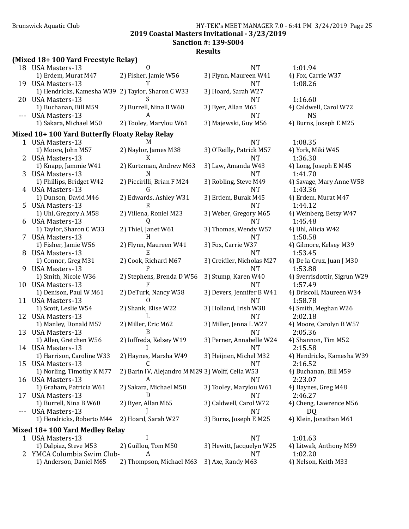## Brunswick Aquatic Club **HY-TEK's MEET MANAGER 7.0 - 6:41 PM 3/24/2019** Page 25 2019 Coastal Masters Invitational - 3/23/2019

Sanction #: 139-S004

Results

# (Mixed 18+ 100 Yard Freestyle Relay)

|              | $(0.126)$ Too Taru Freescy to Ketay J               |                                                  |                           |                              |
|--------------|-----------------------------------------------------|--------------------------------------------------|---------------------------|------------------------------|
|              | 18 USA Masters-13                                   | $\Omega$                                         | <b>NT</b>                 | 1:01.94                      |
|              | 1) Erdem, Murat M47                                 | 2) Fisher, Jamie W56                             | 3) Flynn, Maureen W41     | 4) Fox, Carrie W37           |
| 19           | <b>USA Masters-13</b>                               |                                                  | <b>NT</b>                 | 1:08.26                      |
|              | 1) Hendricks, Kamesha W39 2) Taylor, Sharon C W33   |                                                  | 3) Hoard, Sarah W27       |                              |
| 20           | <b>USA Masters-13</b>                               |                                                  | <b>NT</b>                 | 1:16.60                      |
|              | 1) Buchanan, Bill M59                               | 2) Burrell, Nina B W60                           | 3) Byer, Allan M65        | 4) Caldwell, Carol W72       |
|              | <b>USA Masters-13</b>                               | A                                                | <b>NT</b>                 | <b>NS</b>                    |
|              | 1) Sakara, Michael M50                              | 2) Tooley, Marylou W61                           | 3) Majewski, Guy M56      | 4) Burns, Joseph E M25       |
|              | Mixed 18+ 100 Yard Butterfly Floaty Relay Relay     |                                                  |                           |                              |
|              | 1 USA Masters-13                                    | M                                                | <b>NT</b>                 | 1:08.35                      |
|              | 1) Moore, John M57                                  | 2) Naylor, James M38                             | 3) O'Reilly, Patrick M57  | 4) York, Miki W45            |
| 2            | <b>USA Masters-13</b>                               | K                                                | <b>NT</b>                 | 1:36.30                      |
|              | 1) Knapp, Jammie W41                                | 2) Kurtzman, Andrew M63                          | 3) Law, Amanda W43        | 4) Long, Joseph E M45        |
| 3            | <b>USA Masters-13</b>                               | N                                                | <b>NT</b>                 | 1:41.70                      |
|              | 1) Phillips, Bridget W42                            | 2) Piccirilli, Brian F M24                       | 3) Robling, Steve M49     | 4) Savage, Mary Anne W58     |
|              | 4 USA Masters-13                                    | G                                                | <b>NT</b>                 | 1:43.36                      |
|              | 1) Dunson, David M46                                | 2) Edwards, Ashley W31                           | 3) Erdem, Burak M45       | 4) Erdem, Murat M47          |
| 5            | <b>USA Masters-13</b>                               | R                                                | <b>NT</b>                 | 1:44.12                      |
|              | 1) Uhl, Gregory A M58                               | 2) Villena, Roniel M23                           | 3) Weber, Gregory M65     | 4) Weinberg, Betsy W47       |
| 6            | <b>USA Masters-13</b>                               | Q                                                | <b>NT</b>                 | 1:45.48                      |
|              | 1) Taylor, Sharon C W33                             | 2) Thiel, Janet W61                              | 3) Thomas, Wendy W57      | 4) Uhl, Alicia W42           |
| 7            | <b>USA Masters-13</b>                               | H                                                | <b>NT</b>                 | 1:50.58                      |
|              | 1) Fisher, Jamie W56                                | 2) Flynn, Maureen W41                            | 3) Fox, Carrie W37        | 4) Gilmore, Kelsey M39       |
| 8            | <b>USA Masters-13</b>                               | Е                                                | <b>NT</b>                 | 1:53.45                      |
|              | 1) Connor, Greg M31                                 | 2) Cook, Richard M67                             | 3) Creidler, Nicholas M27 | 4) De la Cruz, Juan J M30    |
| 9            | <b>USA Masters-13</b>                               | P                                                | <b>NT</b>                 | 1:53.88                      |
|              | 1) Smith, Nicole W36                                | 2) Stephens, Brenda D W56                        | 3) Stump, Karen W40       | 4) Sverrisdottir, Sigrun W29 |
| 10           | <b>USA Masters-13</b>                               | F                                                | <b>NT</b>                 | 1:57.49                      |
|              | 1) Denison, Paul W M61                              | 2) DeTurk, Nancy W58                             | 3) Devers, Jennifer B W41 | 4) Driscoll, Maureen W34     |
| 11           | <b>USA Masters-13</b>                               | 0                                                | <b>NT</b>                 | 1:58.78                      |
|              | 1) Scott, Leslie W54                                | 2) Shank, Elise W22                              | 3) Holland, Irish W38     | 4) Smith, Meghan W26         |
| 12           | USA Masters-13                                      | L                                                | <b>NT</b>                 | 2:02.18                      |
|              | 1) Manley, Donald M57                               | 2) Miller, Eric M62                              | 3) Miller, Jenna L W27    | 4) Moore, Carolyn B W57      |
| 13           | <b>USA Masters-13</b>                               | B                                                | <b>NT</b>                 | 2:05.36                      |
|              | 1) Allen, Gretchen W56                              | 2) Ioffreda, Kelsey W19                          | 3) Perner, Annabelle W24  | 4) Shannon, Tim M52          |
|              | 14 USA Masters-13                                   |                                                  | <b>NT</b>                 | 2:15.58                      |
|              | 1) Harrison, Caroline W33                           | 2) Haynes, Marsha W49                            | 3) Heijnen, Michel M32    | 4) Hendricks, Kamesha W39    |
|              | 15 USA Masters-13                                   |                                                  | NT                        | 2:16.52                      |
|              | 1) Norling, Timothy K M77                           | 2) Barin IV, Alejandro M M29 3) Wolff, Celia W53 |                           | 4) Buchanan, Bill M59        |
|              | 16 USA Masters-13                                   | A                                                | NT                        | 2:23.07                      |
|              | 1) Graham, Patricia W61                             | 2) Sakara, Michael M50                           | 3) Tooley, Marylou W61    | 4) Haynes, Greg M48          |
|              | 17 USA Masters-13                                   | D                                                | <b>NT</b>                 | 2:46.27                      |
|              | 1) Burrell, Nina B W60                              | 2) Byer, Allan M65                               | 3) Caldwell, Carol W72    | 4) Cheng, Lawrence M56       |
|              | <b>USA Masters-13</b>                               |                                                  | <b>NT</b>                 | DQ                           |
|              | 1) Hendricks, Roberto M44                           | 2) Hoard, Sarah W27                              | 3) Burns, Joseph E M25    | 4) Klein, Jonathan M61       |
|              |                                                     |                                                  |                           |                              |
|              | Mixed 18+ 100 Yard Medley Relay<br>1 USA Masters-13 |                                                  | <b>NT</b>                 | 1:01.63                      |
|              | 1) Dalpiaz, Steve M53                               | 2) Guillou, Tom M50                              | 3) Hewitt, Jacquelyn W25  | 4) Litwak, Anthony M59       |
| $\mathbf{Z}$ | YMCA Columbia Swim Club-                            | A                                                | NT                        | 1:02.20                      |
|              | 1) Anderson, Daniel M65                             | 2) Thompson, Michael M63                         | 3) Axe, Randy M63         | 4) Nelson, Keith M33         |
|              |                                                     |                                                  |                           |                              |